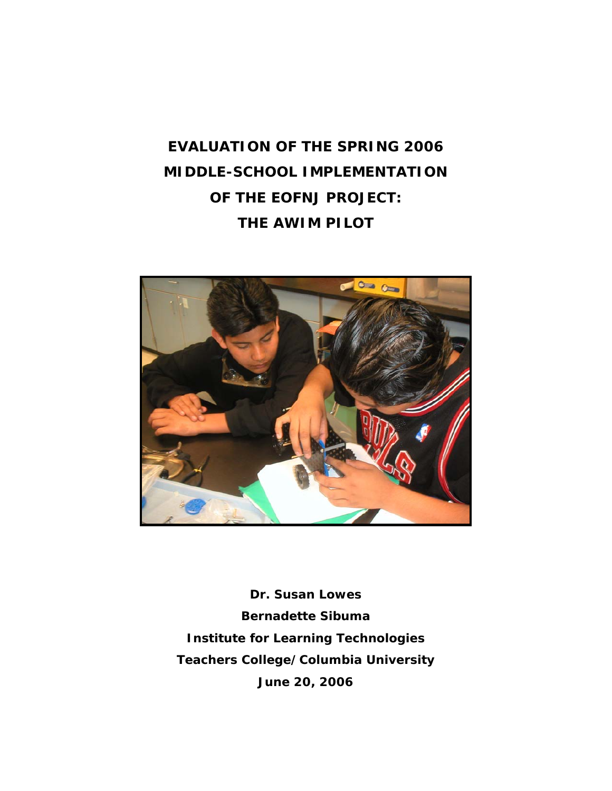# **EVALUATION OF THE SPRING 2006 MIDDLE-SCHOOL IMPLEMENTATION OF THE EOFNJ PROJECT: THE AWIM PILOT**



**Dr. Susan Lowes Bernadette Sibuma Institute for Learning Technologies Teachers College/Columbia University June 20, 2006**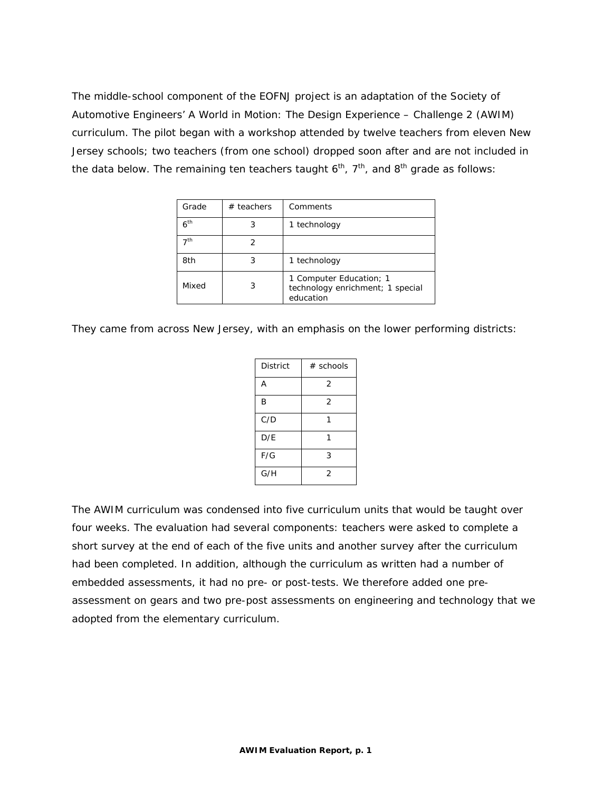The middle-school component of the EOFNJ project is an adaptation of the Society of Automotive Engineers' A World in Motion: The Design Experience – Challenge 2 (AWIM) curriculum. The pilot began with a workshop attended by twelve teachers from eleven New Jersey schools; two teachers (from one school) dropped soon after and are not included in the data below. The remaining ten teachers taught  $6<sup>th</sup>$ ,  $7<sup>th</sup>$ , and  $8<sup>th</sup>$  grade as follows:

| Grade           | $#$ teachers | Comments                                                                 |
|-----------------|--------------|--------------------------------------------------------------------------|
| 6 <sup>th</sup> | 3            | 1 technology                                                             |
| 7 <sup>th</sup> | 2            |                                                                          |
| 8th             | 3            | 1 technology                                                             |
| Mixed           | 3            | 1 Computer Education; 1<br>technology enrichment; 1 special<br>education |

They came from across New Jersey, with an emphasis on the lower performing districts:

| <b>District</b> | $#$ schools    |
|-----------------|----------------|
| A               | 2              |
| B               | $\overline{2}$ |
| C/D             |                |
| D/E             |                |
| F/G             | 3              |
| G/H             | 2              |

The AWIM curriculum was condensed into five curriculum units that would be taught over four weeks. The evaluation had several components: teachers were asked to complete a short survey at the end of each of the five units and another survey after the curriculum had been completed. In addition, although the curriculum as written had a number of embedded assessments, it had no pre- or post-tests. We therefore added one preassessment on gears and two pre-post assessments on engineering and technology that we adopted from the elementary curriculum.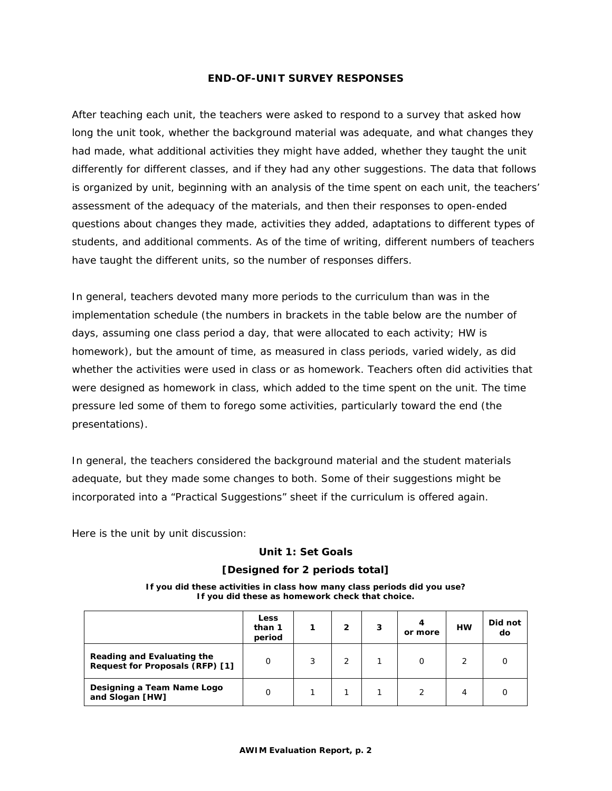### **END-OF-UNIT SURVEY RESPONSES**

After teaching each unit, the teachers were asked to respond to a survey that asked how long the unit took, whether the background material was adequate, and what changes they had made, what additional activities they might have added, whether they taught the unit differently for different classes, and if they had any other suggestions. The data that follows is organized by unit, beginning with an analysis of the time spent on each unit, the teachers' assessment of the adequacy of the materials, and then their responses to open-ended questions about changes they made, activities they added, adaptations to different types of students, and additional comments. As of the time of writing, different numbers of teachers have taught the different units, so the number of responses differs.

In general, teachers devoted many more periods to the curriculum than was in the implementation schedule (the numbers in brackets in the table below are the number of days, assuming one class period a day, that were allocated to each activity; HW is homework), but the amount of time, as measured in class periods, varied widely, as did whether the activities were used in class or as homework. Teachers often did activities that were designed as homework in class, which added to the time spent on the unit. The time pressure led some of them to forego some activities, particularly toward the end (the presentations).

In general, the teachers considered the background material and the student materials adequate, but they made some changes to both. Some of their suggestions might be incorporated into a "Practical Suggestions" sheet if the curriculum is offered again.

Here is the unit by unit discussion:

### **Unit 1: Set Goals**

### **[Designed for 2 periods total]**

**If you did these activities in class how many class periods did you use? If you did these as homework check that choice.** 

|                                                               | <b>Less</b><br>than 1<br>period |   | 2 | 3 | 4<br>or more | <b>HW</b>     | Did not<br>do |
|---------------------------------------------------------------|---------------------------------|---|---|---|--------------|---------------|---------------|
| Reading and Evaluating the<br>Request for Proposals (RFP) [1] | O                               | 3 |   |   |              | $\mathcal{P}$ |               |
| Designing a Team Name Logo<br>and Slogan [HW]                 | 0                               |   |   |   | ◠            | 4             |               |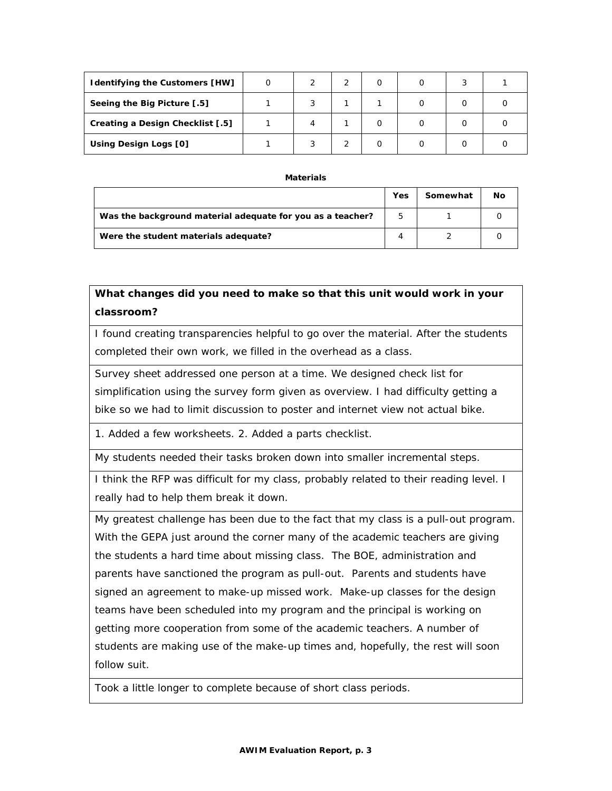| <b>Identifying the Customers [HW]</b> |  |  |   |  |
|---------------------------------------|--|--|---|--|
| Seeing the Big Picture [.5]           |  |  | 0 |  |
| Creating a Design Checklist [.5]      |  |  | 0 |  |
| Using Design Logs [0]                 |  |  | 0 |  |

#### **Materials**

|                                                            | Yes | Somewhat | No |
|------------------------------------------------------------|-----|----------|----|
| Was the background material adequate for you as a teacher? | 5   |          |    |
| Were the student materials adequate?                       |     |          |    |

**What changes did you need to make so that this unit would work in your classroom?** 

I found creating transparencies helpful to go over the material. After the students completed their own work, we filled in the overhead as a class.

Survey sheet addressed one person at a time. We designed check list for simplification using the survey form given as overview. I had difficulty getting a bike so we had to limit discussion to poster and internet view not actual bike.

1. Added a few worksheets. 2. Added a parts checklist.

My students needed their tasks broken down into smaller incremental steps.

I think the RFP was difficult for my class, probably related to their reading level. I really had to help them break it down.

My greatest challenge has been due to the fact that my class is a pull-out program. With the GEPA just around the corner many of the academic teachers are giving the students a hard time about missing class. The BOE, administration and parents have sanctioned the program as pull-out. Parents and students have signed an agreement to make-up missed work. Make-up classes for the design teams have been scheduled into my program and the principal is working on getting more cooperation from some of the academic teachers. A number of students are making use of the make-up times and, hopefully, the rest will soon follow suit.

Took a little longer to complete because of short class periods.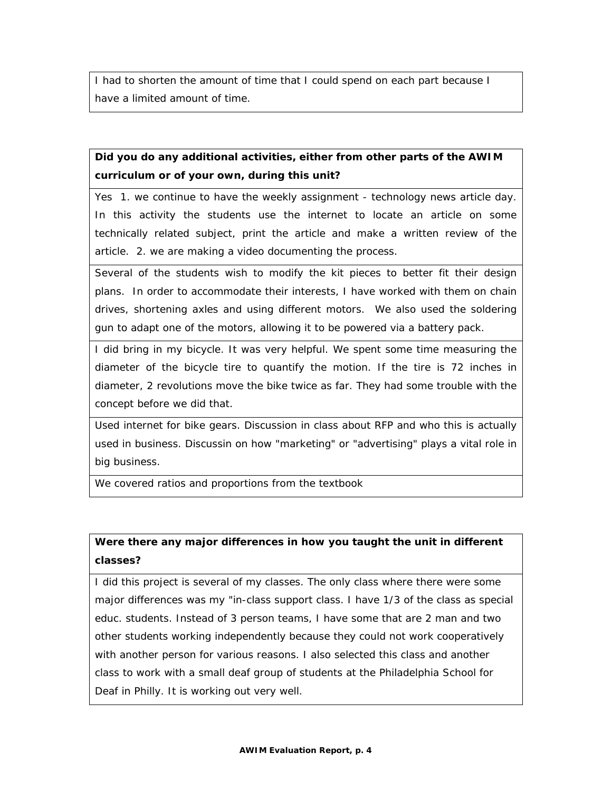I had to shorten the amount of time that I could spend on each part because I have a limited amount of time.

# **Did you do any additional activities, either from other parts of the AWIM curriculum or of your own, during this unit?**

Yes 1. we continue to have the weekly assignment - technology news article day. In this activity the students use the internet to locate an article on some technically related subject, print the article and make a written review of the article. 2. we are making a video documenting the process.

Several of the students wish to modify the kit pieces to better fit their design plans. In order to accommodate their interests, I have worked with them on chain drives, shortening axles and using different motors. We also used the soldering gun to adapt one of the motors, allowing it to be powered via a battery pack.

I did bring in my bicycle. It was very helpful. We spent some time measuring the diameter of the bicycle tire to quantify the motion. If the tire is 72 inches in diameter, 2 revolutions move the bike twice as far. They had some trouble with the concept before we did that.

Used internet for bike gears. Discussion in class about RFP and who this is actually used in business. Discussin on how "marketing" or "advertising" plays a vital role in big business.

We covered ratios and proportions from the textbook

# **Were there any major differences in how you taught the unit in different classes?**

I did this project is several of my classes. The only class where there were some major differences was my "in-class support class. I have 1/3 of the class as special educ. students. Instead of 3 person teams, I have some that are 2 man and two other students working independently because they could not work cooperatively with another person for various reasons. I also selected this class and another class to work with a small deaf group of students at the Philadelphia School for Deaf in Philly. It is working out very well.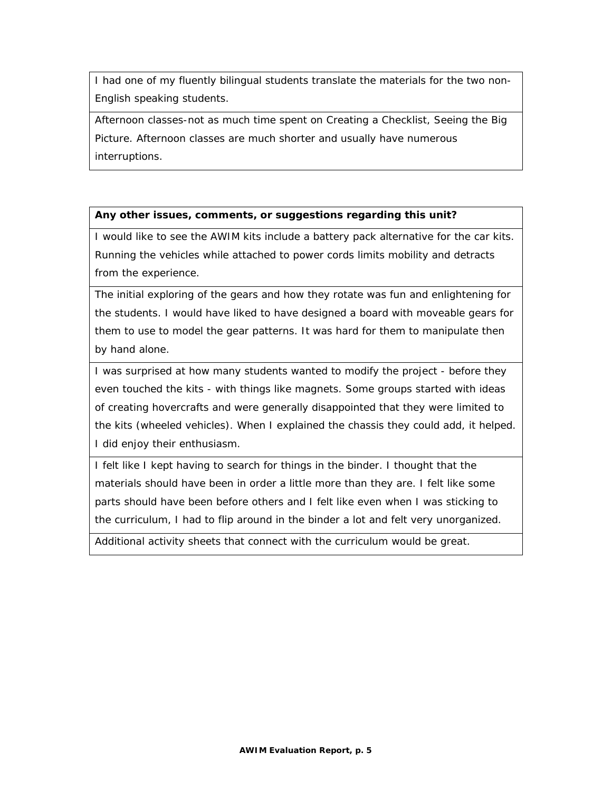I had one of my fluently bilingual students translate the materials for the two non-English speaking students.

Afternoon classes-not as much time spent on Creating a Checklist, Seeing the Big Picture. Afternoon classes are much shorter and usually have numerous interruptions.

### **Any other issues, comments, or suggestions regarding this unit?**

I would like to see the AWIM kits include a battery pack alternative for the car kits. Running the vehicles while attached to power cords limits mobility and detracts from the experience.

The initial exploring of the gears and how they rotate was fun and enlightening for the students. I would have liked to have designed a board with moveable gears for them to use to model the gear patterns. It was hard for them to manipulate then by hand alone.

I was surprised at how many students wanted to modify the project - before they even touched the kits - with things like magnets. Some groups started with ideas of creating hovercrafts and were generally disappointed that they were limited to the kits (wheeled vehicles). When I explained the chassis they could add, it helped. I did enjoy their enthusiasm.

I felt like I kept having to search for things in the binder. I thought that the materials should have been in order a little more than they are. I felt like some parts should have been before others and I felt like even when I was sticking to the curriculum, I had to flip around in the binder a lot and felt very unorganized.

Additional activity sheets that connect with the curriculum would be great.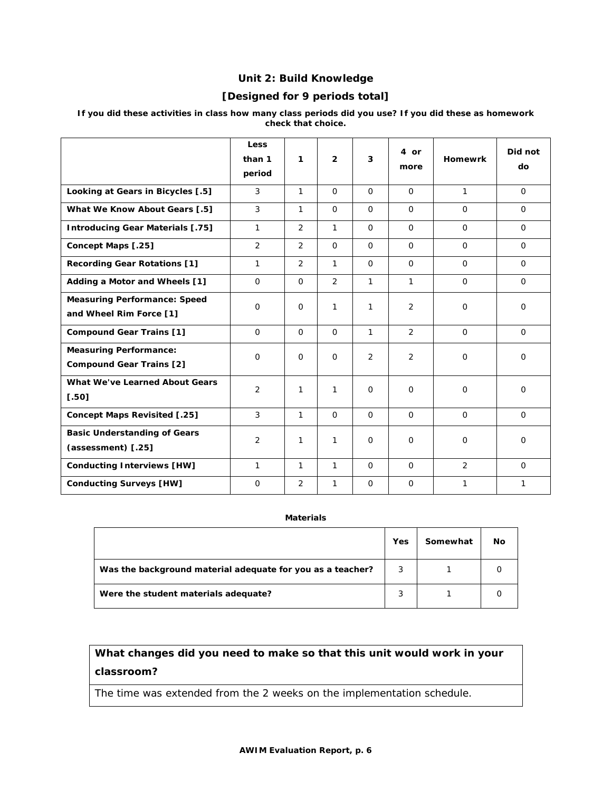# **Unit 2: Build Knowledge**

### **[Designed for 9 periods total]**

|                                                                  | <b>Less</b><br>than 1<br>period | 1              | $\overline{2}$ | 3              | 4 or<br>more   | <b>Homewrk</b> | Did not<br>do |
|------------------------------------------------------------------|---------------------------------|----------------|----------------|----------------|----------------|----------------|---------------|
| Looking at Gears in Bicycles [.5]                                | 3                               | $\mathbf{1}$   | $\Omega$       | $\Omega$       | $\Omega$       | $\mathbf{1}$   | $\Omega$      |
| What We Know About Gears [.5]                                    | 3                               | 1              | $\Omega$       | $\Omega$       | $\Omega$       | $\Omega$       | $\mathbf 0$   |
| <b>Introducing Gear Materials [.75]</b>                          | $\mathbf{1}$                    | $\overline{2}$ | $\mathbf{1}$   | $\Omega$       | $\Omega$       | $\Omega$       | $\Omega$      |
| Concept Maps [.25]                                               | $\overline{2}$                  | $\mathfrak{D}$ | $\Omega$       | $\Omega$       | $\Omega$       | $\Omega$       | $\Omega$      |
| <b>Recording Gear Rotations [1]</b>                              | $\mathbf{1}$                    | $\overline{2}$ | $\mathbf{1}$   | $\Omega$       | $\Omega$       | $\Omega$       | $\Omega$      |
| Adding a Motor and Wheels [1]                                    | $\Omega$                        | $\Omega$       | 2              | 1              | 1              | $\Omega$       | $\Omega$      |
| <b>Measuring Performance: Speed</b><br>and Wheel Rim Force [1]   | $\Omega$                        | $\Omega$       | $\mathbf{1}$   | 1              | 2              | $\Omega$       | $\Omega$      |
| <b>Compound Gear Trains [1]</b>                                  | $\Omega$                        | $\Omega$       | $\Omega$       | $\mathbf{1}$   | $\overline{2}$ | $\Omega$       | $\Omega$      |
| <b>Measuring Performance:</b><br><b>Compound Gear Trains [2]</b> | $\Omega$                        | $\Omega$       | $\Omega$       | $\overline{2}$ | $\overline{2}$ | $\Omega$       | $\Omega$      |
| What We've Learned About Gears<br>$[.50]$                        | $\overline{2}$                  | 1              | 1              | $\Omega$       | $\Omega$       | $\Omega$       | $\Omega$      |
| <b>Concept Maps Revisited [.25]</b>                              | 3                               | $\mathbf{1}$   | $\Omega$       | $\Omega$       | $\Omega$       | $\Omega$       | $\Omega$      |
| <b>Basic Understanding of Gears</b><br>(assessment) [.25]        | 2                               | 1              | $\mathbf{1}$   | $\Omega$       | $\mathbf 0$    | $\Omega$       | $\mathbf 0$   |
| <b>Conducting Interviews [HW]</b>                                | 1                               | 1              | 1              | $\Omega$       | $\Omega$       | $\overline{2}$ | $\Omega$      |
| <b>Conducting Surveys [HW]</b>                                   | $\mathbf 0$                     | $\overline{2}$ | $\mathbf{1}$   | $\mathbf{O}$   | $\Omega$       | 1              | 1             |

#### **If you did these activities in class how many class periods did you use? If you did these as homework check that choice.**

#### **Materials**

|                                                            | Yes | Somewhat | No |
|------------------------------------------------------------|-----|----------|----|
| Was the background material adequate for you as a teacher? | 3   |          |    |
| Were the student materials adequate?                       | 3   |          |    |

# **What changes did you need to make so that this unit would work in your classroom?**

The time was extended from the 2 weeks on the implementation schedule.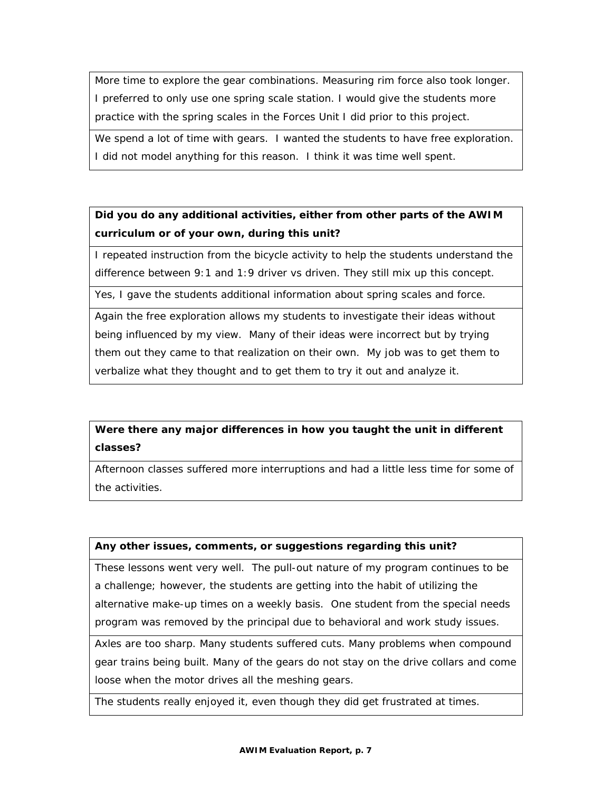More time to explore the gear combinations. Measuring rim force also took longer. I preferred to only use one spring scale station. I would give the students more practice with the spring scales in the Forces Unit I did prior to this project.

We spend a lot of time with gears. I wanted the students to have free exploration. I did not model anything for this reason. I think it was time well spent.

# **Did you do any additional activities, either from other parts of the AWIM curriculum or of your own, during this unit?**

I repeated instruction from the bicycle activity to help the students understand the difference between 9:1 and 1:9 driver vs driven. They still mix up this concept.

Yes, I gave the students additional information about spring scales and force.

Again the free exploration allows my students to investigate their ideas without being influenced by my view. Many of their ideas were incorrect but by trying them out they came to that realization on their own. My job was to get them to verbalize what they thought and to get them to try it out and analyze it.

# **Were there any major differences in how you taught the unit in different classes?**

Afternoon classes suffered more interruptions and had a little less time for some of the activities.

### **Any other issues, comments, or suggestions regarding this unit?**

These lessons went very well. The pull-out nature of my program continues to be a challenge; however, the students are getting into the habit of utilizing the alternative make-up times on a weekly basis. One student from the special needs program was removed by the principal due to behavioral and work study issues.

Axles are too sharp. Many students suffered cuts. Many problems when compound gear trains being built. Many of the gears do not stay on the drive collars and come loose when the motor drives all the meshing gears.

The students really enjoyed it, even though they did get frustrated at times.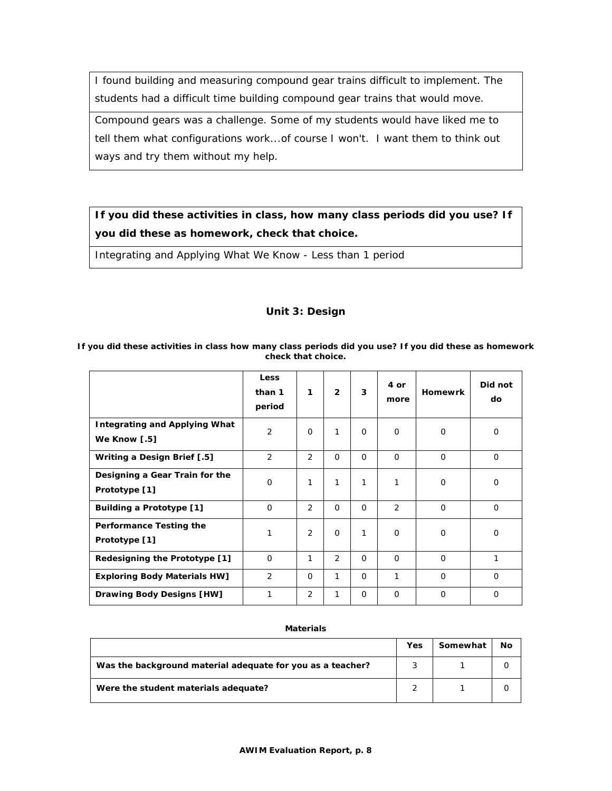I found building and measuring compound gear trains difficult to implement. The students had a difficult time building compound gear trains that would move.

Compound gears was a challenge. Some of my students would have liked me to tell them what configurations work...of course I won't. I want them to think out ways and try them without my help.

# **If you did these activities in class, how many class periods did you use? If you did these as homework, check that choice.**

Integrating and Applying What We Know - Less than 1 period

# **Unit 3: Design**

#### **Less than 1 period 1 2 3 4 or more Homewrk Did not do Integrating and Applying What We Know [.5]**  2 0 1 0 0 0 0 0 **Writing a Design Brief [.5]** <br>2 2 0 0 0 0 0 0 0 0 **Designing a Gear Train for the Prototype [1]**  0 | 1 | 1 | 1 | 1 | 0 | 0 **Building a Prototype [1]** 0 2 0 0 2 0 0 **Performance Testing the Prototype [1]**  1 2 0 1 0 0 0 0 **Redesigning the Prototype [1]** 0 1 2 0 0 0 1 **Exploring Body Materials HW]** 2 0 1 0 1 0 0 **Drawing Body Designs [HW]** | 1 | 2 | 1 | 0 | 0 | 0 | 0

#### **If you did these activities in class how many class periods did you use? If you did these as homework check that choice.**

### **Materials**

|                                                            | Yes | Somewhat | No |
|------------------------------------------------------------|-----|----------|----|
| Was the background material adequate for you as a teacher? |     |          |    |
| Were the student materials adequate?                       |     |          |    |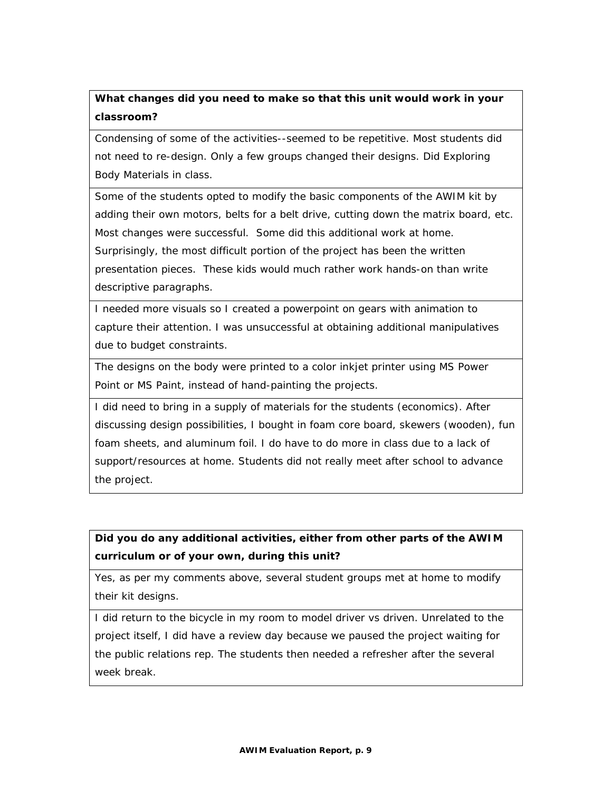# **What changes did you need to make so that this unit would work in your classroom?**

Condensing of some of the activities--seemed to be repetitive. Most students did not need to re-design. Only a few groups changed their designs. Did Exploring Body Materials in class.

Some of the students opted to modify the basic components of the AWIM kit by adding their own motors, belts for a belt drive, cutting down the matrix board, etc. Most changes were successful. Some did this additional work at home. Surprisingly, the most difficult portion of the project has been the written presentation pieces. These kids would much rather work hands-on than write descriptive paragraphs.

I needed more visuals so I created a powerpoint on gears with animation to capture their attention. I was unsuccessful at obtaining additional manipulatives due to budget constraints.

The designs on the body were printed to a color inkjet printer using MS Power Point or MS Paint, instead of hand-painting the projects.

I did need to bring in a supply of materials for the students (economics). After discussing design possibilities, I bought in foam core board, skewers (wooden), fun foam sheets, and aluminum foil. I do have to do more in class due to a lack of support/resources at home. Students did not really meet after school to advance the project.

# **Did you do any additional activities, either from other parts of the AWIM curriculum or of your own, during this unit?**

Yes, as per my comments above, several student groups met at home to modify their kit designs.

I did return to the bicycle in my room to model driver vs driven. Unrelated to the project itself, I did have a review day because we paused the project waiting for the public relations rep. The students then needed a refresher after the several week break.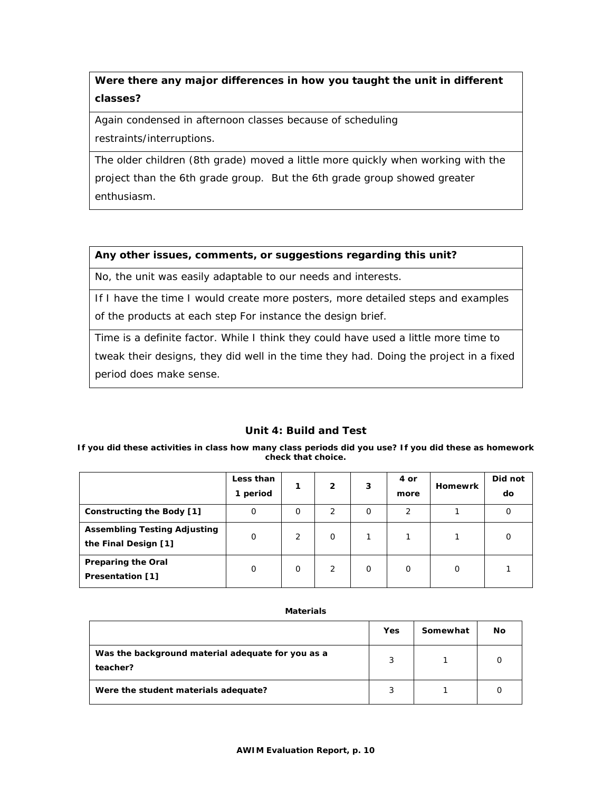# **Were there any major differences in how you taught the unit in different classes?**

Again condensed in afternoon classes because of scheduling restraints/interruptions.

The older children (8th grade) moved a little more quickly when working with the project than the 6th grade group. But the 6th grade group showed greater enthusiasm.

### **Any other issues, comments, or suggestions regarding this unit?**

No, the unit was easily adaptable to our needs and interests.

If I have the time I would create more posters, more detailed steps and examples of the products at each step For instance the design brief.

Time is a definite factor. While I think they could have used a little more time to tweak their designs, they did well in the time they had. Doing the project in a fixed period does make sense.

# **Unit 4: Build and Test**

**If you did these activities in class how many class periods did you use? If you did these as homework check that choice.** 

|                                                             | Less than<br>1 period |          | 2        | 3        | 4 or<br>more | <b>Homewrk</b> | Did not<br>do |
|-------------------------------------------------------------|-----------------------|----------|----------|----------|--------------|----------------|---------------|
| Constructing the Body [1]                                   | 0                     | $\Omega$ | 2        | 0        | 2            |                | 0             |
| <b>Assembling Testing Adjusting</b><br>the Final Design [1] | 0                     | 2        | $\Omega$ |          |              |                | O             |
| <b>Preparing the Oral</b><br><b>Presentation [1]</b>        | O                     | $\Omega$ | 2        | $\Omega$ | O            | 0              |               |

#### **Materials**

|                                                               | Yes | Somewhat | No |
|---------------------------------------------------------------|-----|----------|----|
| Was the background material adequate for you as a<br>teacher? | 3   |          |    |
| Were the student materials adequate?                          |     |          |    |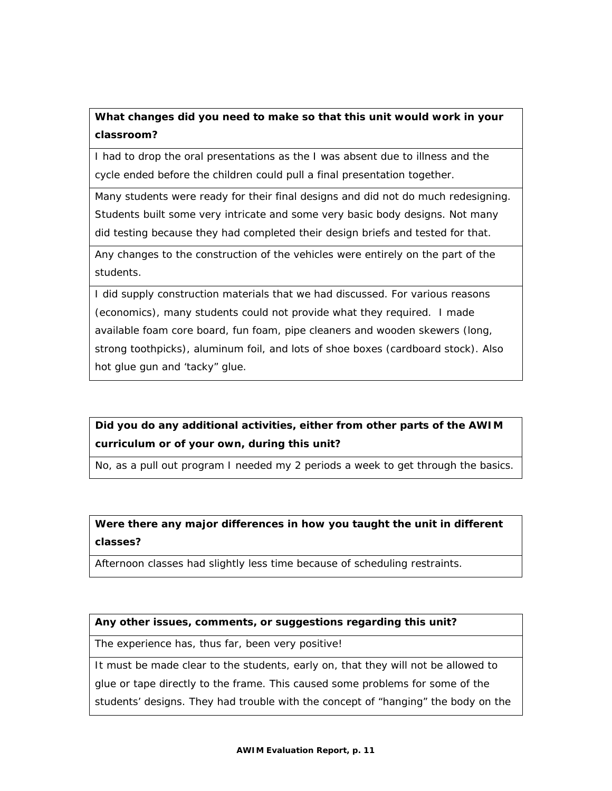# **What changes did you need to make so that this unit would work in your classroom?**

I had to drop the oral presentations as the I was absent due to illness and the cycle ended before the children could pull a final presentation together.

Many students were ready for their final designs and did not do much redesigning. Students built some very intricate and some very basic body designs. Not many did testing because they had completed their design briefs and tested for that.

Any changes to the construction of the vehicles were entirely on the part of the students.

I did supply construction materials that we had discussed. For various reasons (economics), many students could not provide what they required. I made available foam core board, fun foam, pipe cleaners and wooden skewers (long, strong toothpicks), aluminum foil, and lots of shoe boxes (cardboard stock). Also hot glue gun and 'tacky" glue.

# **Did you do any additional activities, either from other parts of the AWIM curriculum or of your own, during this unit?**

No, as a pull out program I needed my 2 periods a week to get through the basics.

# **Were there any major differences in how you taught the unit in different classes?**

Afternoon classes had slightly less time because of scheduling restraints.

# **Any other issues, comments, or suggestions regarding this unit?**

The experience has, thus far, been very positive!

It must be made clear to the students, early on, that they will not be allowed to glue or tape directly to the frame. This caused some problems for some of the students' designs. They had trouble with the concept of "hanging" the body on the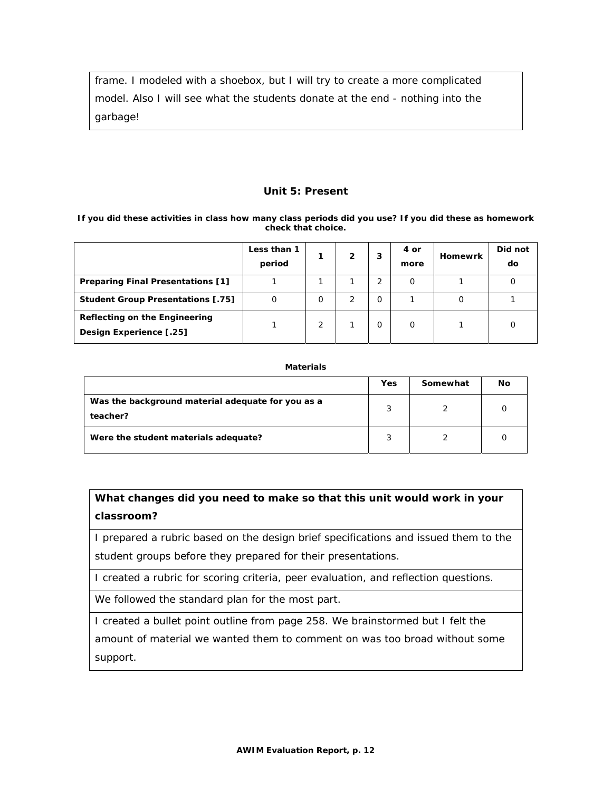frame. I modeled with a shoebox, but I will try to create a more complicated model. Also I will see what the students donate at the end - nothing into the garbage!

### **Unit 5: Present**

#### **If you did these activities in class how many class periods did you use? If you did these as homework check that choice.**

|                                                          | Less than 1<br>period |   | 2 |   | 4 or<br>more | <b>Homewrk</b> | Did not<br>do |
|----------------------------------------------------------|-----------------------|---|---|---|--------------|----------------|---------------|
| <b>Preparing Final Presentations [1]</b>                 |                       |   |   |   |              |                |               |
| <b>Student Group Presentations [.75]</b>                 |                       | Ο |   | Ω |              |                |               |
| Reflecting on the Engineering<br>Design Experience [.25] |                       | 2 |   | O | $\Omega$     |                |               |

#### **Materials**

|                                                               | Yes | Somewhat | Νo |
|---------------------------------------------------------------|-----|----------|----|
| Was the background material adequate for you as a<br>teacher? | 3   |          |    |
| Were the student materials adequate?                          | ာ   |          |    |

# **What changes did you need to make so that this unit would work in your classroom?**

I prepared a rubric based on the design brief specifications and issued them to the student groups before they prepared for their presentations.

I created a rubric for scoring criteria, peer evaluation, and reflection questions.

We followed the standard plan for the most part.

I created a bullet point outline from page 258. We brainstormed but I felt the amount of material we wanted them to comment on was too broad without some support.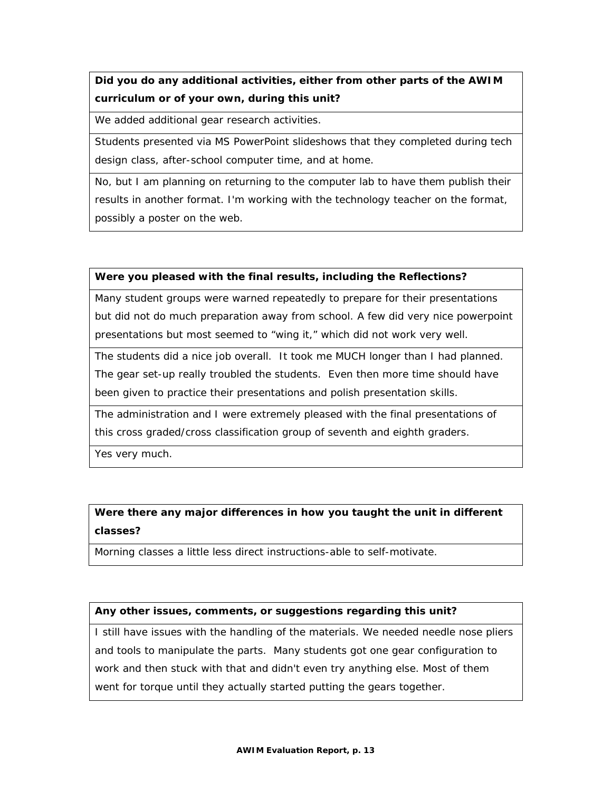**Did you do any additional activities, either from other parts of the AWIM curriculum or of your own, during this unit?** 

We added additional gear research activities.

Students presented via MS PowerPoint slideshows that they completed during tech design class, after-school computer time, and at home.

No, but I am planning on returning to the computer lab to have them publish their results in another format. I'm working with the technology teacher on the format, possibly a poster on the web.

### **Were you pleased with the final results, including the Reflections?**

Many student groups were warned repeatedly to prepare for their presentations but did not do much preparation away from school. A few did very nice powerpoint presentations but most seemed to "wing it," which did not work very well.

The students did a nice job overall. It took me MUCH longer than I had planned. The gear set-up really troubled the students. Even then more time should have been given to practice their presentations and polish presentation skills.

The administration and I were extremely pleased with the final presentations of this cross graded/cross classification group of seventh and eighth graders.

Yes very much.

# **Were there any major differences in how you taught the unit in different classes?**

Morning classes a little less direct instructions-able to self-motivate.

### **Any other issues, comments, or suggestions regarding this unit?**

I still have issues with the handling of the materials. We needed needle nose pliers and tools to manipulate the parts. Many students got one gear configuration to work and then stuck with that and didn't even try anything else. Most of them went for torque until they actually started putting the gears together.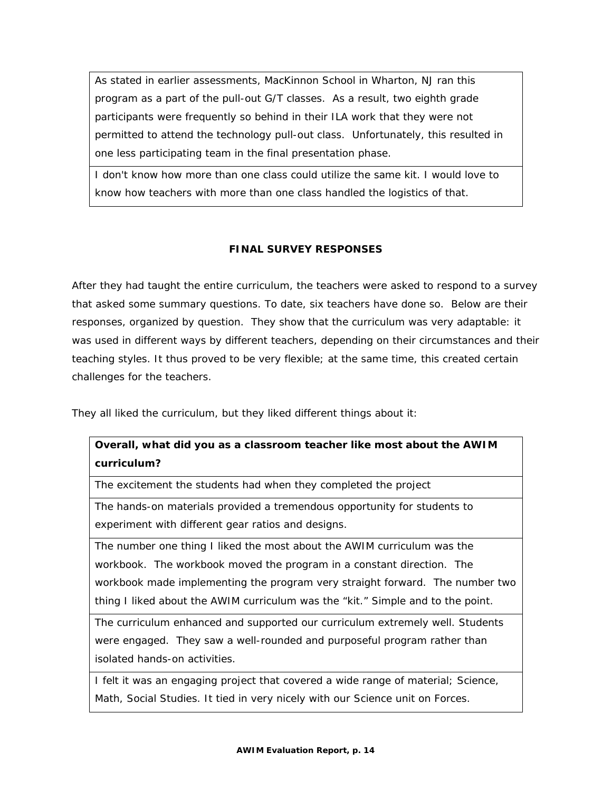As stated in earlier assessments, MacKinnon School in Wharton, NJ ran this program as a part of the pull-out G/T classes. As a result, two eighth grade participants were frequently so behind in their ILA work that they were not permitted to attend the technology pull-out class. Unfortunately, this resulted in one less participating team in the final presentation phase.

I don't know how more than one class could utilize the same kit. I would love to know how teachers with more than one class handled the logistics of that.

# **FINAL SURVEY RESPONSES**

After they had taught the entire curriculum, the teachers were asked to respond to a survey that asked some summary questions. To date, six teachers have done so. Below are their responses, organized by question. They show that the curriculum was very adaptable: it was used in different ways by different teachers, depending on their circumstances and their teaching styles. It thus proved to be very flexible; at the same time, this created certain challenges for the teachers.

They all liked the curriculum, but they liked different things about it:

# **Overall, what did you as a classroom teacher like most about the AWIM curriculum?**

The excitement the students had when they completed the project

The hands-on materials provided a tremendous opportunity for students to experiment with different gear ratios and designs.

The number one thing I liked the most about the AWIM curriculum was the workbook. The workbook moved the program in a constant direction. The workbook made implementing the program very straight forward. The number two thing I liked about the AWIM curriculum was the "kit." Simple and to the point.

The curriculum enhanced and supported our curriculum extremely well. Students were engaged. They saw a well-rounded and purposeful program rather than isolated hands-on activities.

I felt it was an engaging project that covered a wide range of material; Science, Math, Social Studies. It tied in very nicely with our Science unit on Forces.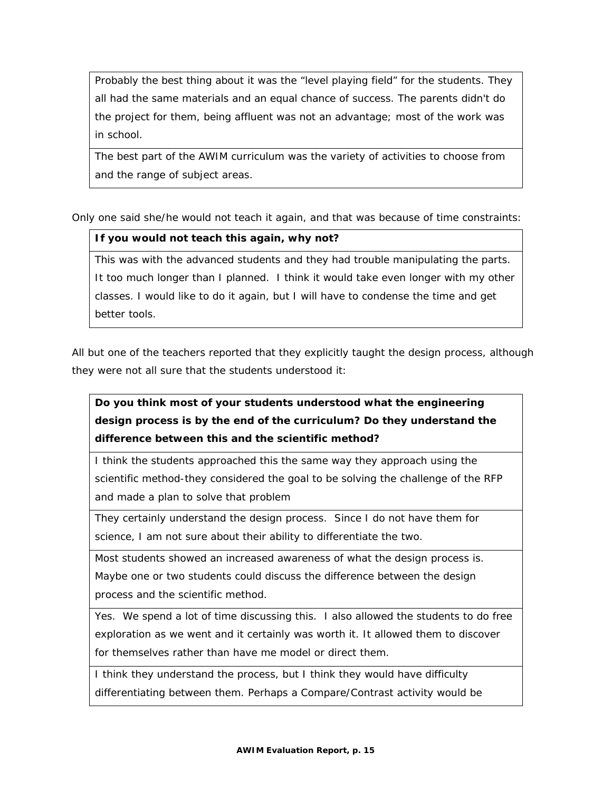Probably the best thing about it was the "level playing field" for the students. They all had the same materials and an equal chance of success. The parents didn't do the project for them, being affluent was not an advantage; most of the work was in school.

The best part of the AWIM curriculum was the variety of activities to choose from and the range of subject areas.

Only one said she/he would not teach it again, and that was because of time constraints:

### **If you would not teach this again, why not?**

This was with the advanced students and they had trouble manipulating the parts. It too much longer than I planned. I think it would take even longer with my other classes. I would like to do it again, but I will have to condense the time and get better tools.

All but one of the teachers reported that they explicitly taught the design process, although they were not all sure that the students understood it:

**Do you think most of your students understood what the engineering design process is by the end of the curriculum? Do they understand the difference between this and the scientific method?** 

I think the students approached this the same way they approach using the scientific method-they considered the goal to be solving the challenge of the RFP and made a plan to solve that problem

They certainly understand the design process. Since I do not have them for science, I am not sure about their ability to differentiate the two.

Most students showed an increased awareness of what the design process is. Maybe one or two students could discuss the difference between the design process and the scientific method.

Yes. We spend a lot of time discussing this. I also allowed the students to do free exploration as we went and it certainly was worth it. It allowed them to discover for themselves rather than have me model or direct them.

I think they understand the process, but I think they would have difficulty differentiating between them. Perhaps a Compare/Contrast activity would be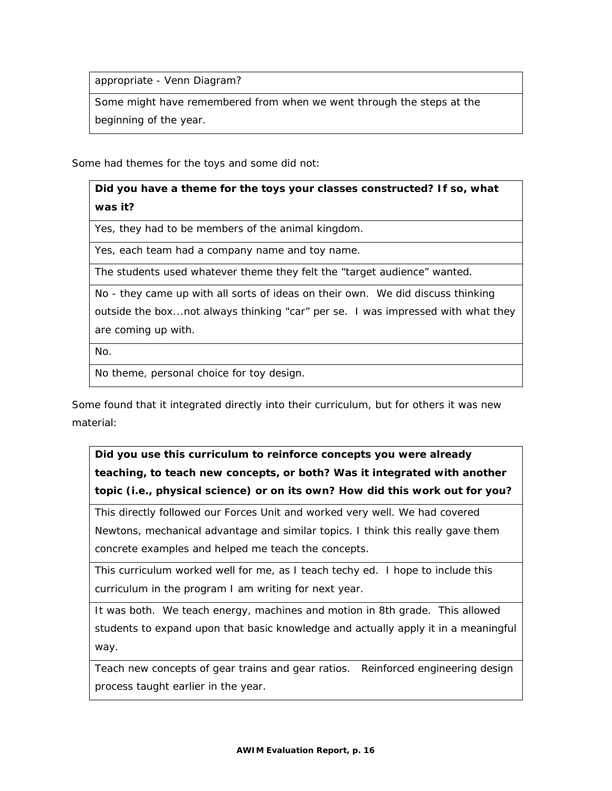appropriate - Venn Diagram?

Some might have remembered from when we went through the steps at the beginning of the year.

Some had themes for the toys and some did not:

**Did you have a theme for the toys your classes constructed? If so, what was it?** 

Yes, they had to be members of the animal kingdom.

Yes, each team had a company name and toy name.

The students used whatever theme they felt the "target audience" wanted.

No - they came up with all sorts of ideas on their own. We did discuss thinking outside the box...not always thinking "car" per se. I was impressed with what they

are coming up with.

No.

No theme, personal choice for toy design.

Some found that it integrated directly into their curriculum, but for others it was new material:

**Did you use this curriculum to reinforce concepts you were already teaching, to teach new concepts, or both? Was it integrated with another topic (i.e., physical science) or on its own? How did this work out for you?** 

This directly followed our Forces Unit and worked very well. We had covered Newtons, mechanical advantage and similar topics. I think this really gave them concrete examples and helped me teach the concepts.

This curriculum worked well for me, as I teach techy ed. I hope to include this curriculum in the program I am writing for next year.

It was both. We teach energy, machines and motion in 8th grade. This allowed students to expand upon that basic knowledge and actually apply it in a meaningful way.

Teach new concepts of gear trains and gear ratios. Reinforced engineering design process taught earlier in the year.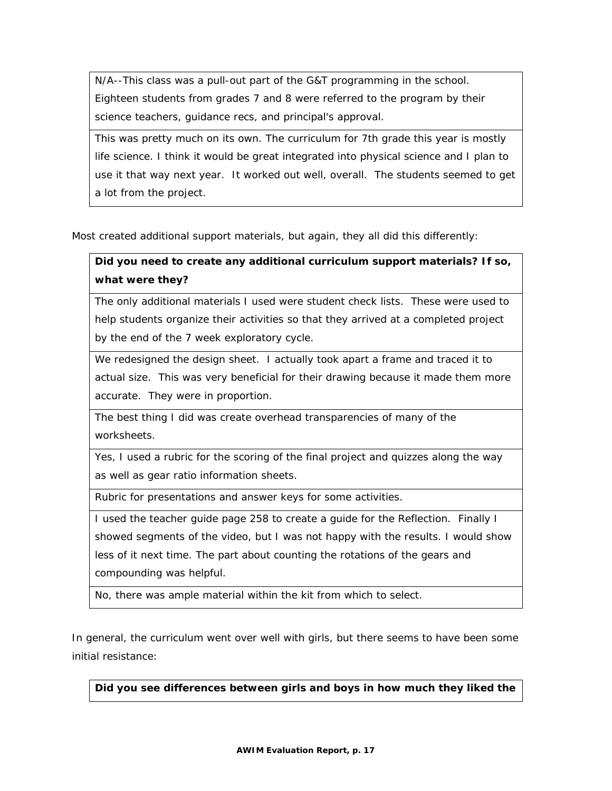N/A--This class was a pull-out part of the G&T programming in the school. Eighteen students from grades 7 and 8 were referred to the program by their science teachers, guidance recs, and principal's approval.

This was pretty much on its own. The curriculum for 7th grade this year is mostly life science. I think it would be great integrated into physical science and I plan to use it that way next year. It worked out well, overall. The students seemed to get a lot from the project.

Most created additional support materials, but again, they all did this differently:

# **Did you need to create any additional curriculum support materials? If so, what were they?**

The only additional materials I used were student check lists. These were used to help students organize their activities so that they arrived at a completed project by the end of the 7 week exploratory cycle.

We redesigned the design sheet. I actually took apart a frame and traced it to actual size. This was very beneficial for their drawing because it made them more accurate. They were in proportion.

The best thing I did was create overhead transparencies of many of the worksheets.

Yes, I used a rubric for the scoring of the final project and quizzes along the way as well as gear ratio information sheets.

Rubric for presentations and answer keys for some activities.

I used the teacher guide page 258 to create a guide for the Reflection. Finally I showed segments of the video, but I was not happy with the results. I would show less of it next time. The part about counting the rotations of the gears and compounding was helpful.

No, there was ample material within the kit from which to select.

In general, the curriculum went over well with girls, but there seems to have been some initial resistance:

**Did you see differences between girls and boys in how much they liked the**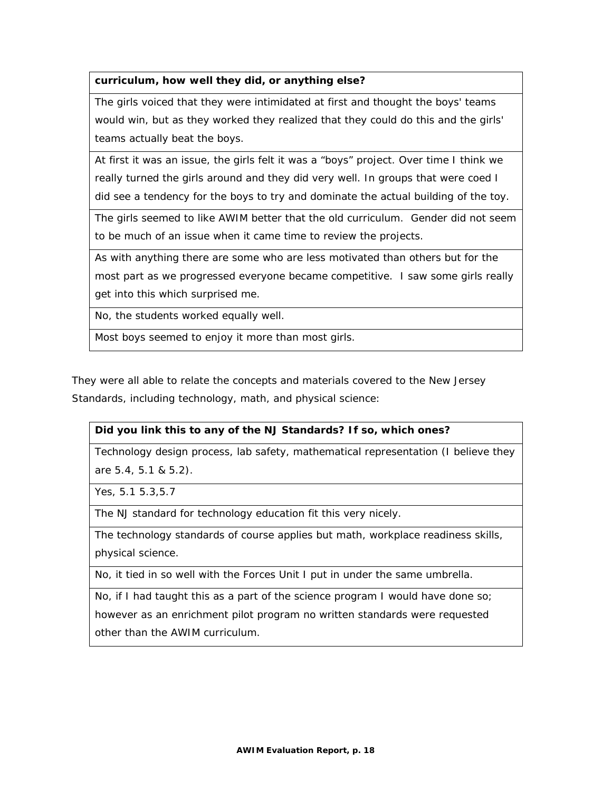# **curriculum, how well they did, or anything else?**

The girls voiced that they were intimidated at first and thought the boys' teams would win, but as they worked they realized that they could do this and the girls' teams actually beat the boys.

At first it was an issue, the girls felt it was a "boys" project. Over time I think we really turned the girls around and they did very well. In groups that were coed I did see a tendency for the boys to try and dominate the actual building of the toy.

The girls seemed to like AWIM better that the old curriculum. Gender did not seem to be much of an issue when it came time to review the projects.

As with anything there are some who are less motivated than others but for the most part as we progressed everyone became competitive. I saw some girls really get into this which surprised me.

No, the students worked equally well.

Most boys seemed to enjoy it more than most girls.

They were all able to relate the concepts and materials covered to the New Jersey Standards, including technology, math, and physical science:

### **Did you link this to any of the NJ Standards? If so, which ones?**

Technology design process, lab safety, mathematical representation (I believe they are 5.4, 5.1 & 5.2).

Yes, 5.1 5.3,5.7

The NJ standard for technology education fit this very nicely.

The technology standards of course applies but math, workplace readiness skills, physical science.

No, it tied in so well with the Forces Unit I put in under the same umbrella.

No, if I had taught this as a part of the science program I would have done so; however as an enrichment pilot program no written standards were requested other than the AWIM curriculum.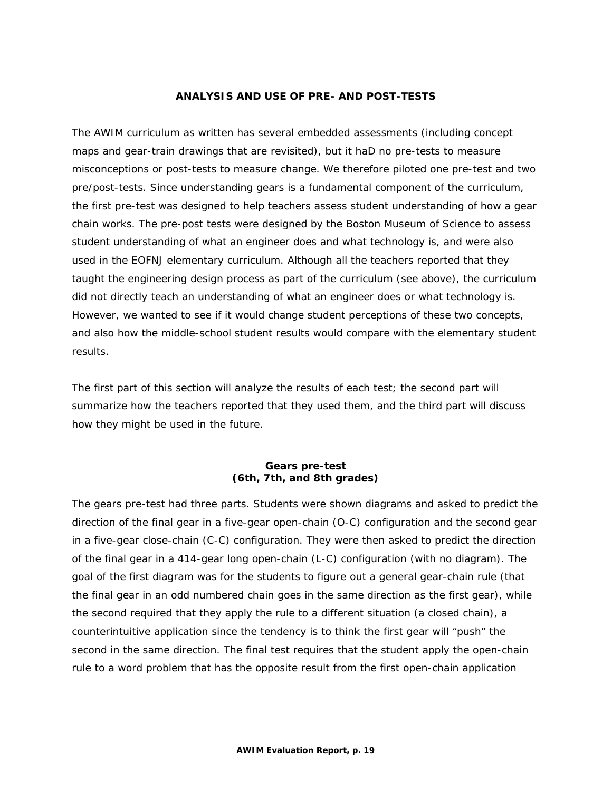### **ANALYSIS AND USE OF PRE- AND POST-TESTS**

The AWIM curriculum as written has several embedded assessments (including concept maps and gear-train drawings that are revisited), but it haD no pre-tests to measure misconceptions or post-tests to measure change. We therefore piloted one pre-test and two pre/post-tests. Since understanding gears is a fundamental component of the curriculum, the first pre-test was designed to help teachers assess student understanding of how a gear chain works. The pre-post tests were designed by the Boston Museum of Science to assess student understanding of what an engineer does and what technology is, and were also used in the EOFNJ elementary curriculum. Although all the teachers reported that they taught the engineering design process as part of the curriculum (see above), the curriculum did not directly teach an understanding of what an engineer does or what technology is. However, we wanted to see if it would change student perceptions of these two concepts, and also how the middle-school student results would compare with the elementary student results.

The first part of this section will analyze the results of each test; the second part will summarize how the teachers reported that they used them, and the third part will discuss how they might be used in the future.

### **Gears pre-test (6th, 7th, and 8th grades)**

The gears pre-test had three parts. Students were shown diagrams and asked to predict the direction of the final gear in a five-gear open-chain (O-C) configuration and the second gear in a five-gear close-chain (C-C) configuration. They were then asked to predict the direction of the final gear in a 414-gear long open-chain (L-C) configuration (with no diagram). The goal of the first diagram was for the students to figure out a general gear-chain rule (that the final gear in an odd numbered chain goes in the same direction as the first gear), while the second required that they apply the rule to a different situation (a closed chain), a counterintuitive application since the tendency is to think the first gear will "push" the second in the same direction. The final test requires that the student apply the open-chain rule to a word problem that has the opposite result from the first open-chain application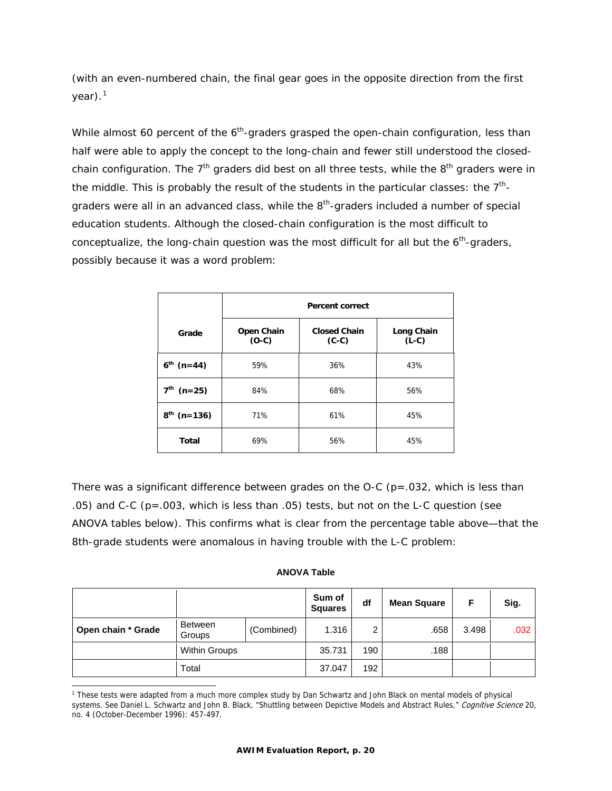(with an even-numbered chain, the final gear goes in the opposite direction from the first  $year)$ .<sup>[1](#page-20-0)</sup>

While almost 60 percent of the  $6<sup>th</sup>$ -graders grasped the open-chain configuration, less than half were able to apply the concept to the long-chain and fewer still understood the closedchain configuration. The  $7<sup>th</sup>$  graders did best on all three tests, while the  $8<sup>th</sup>$  graders were in the middle. This is probably the result of the students in the particular classes: the  $7<sup>th</sup>$ graders were all in an advanced class, while the  $8<sup>th</sup>$ -graders included a number of special education students. Although the closed-chain configuration is the most difficult to conceptualize, the long-chain question was the most difficult for all but the  $6<sup>th</sup>$ -graders, possibly because it was a word problem:

|                             | <b>Percent correct</b> |                                |                       |  |  |  |
|-----------------------------|------------------------|--------------------------------|-----------------------|--|--|--|
| Grade                       | Open Chain<br>$(O-C)$  | <b>Closed Chain</b><br>$(C-C)$ | Long Chain<br>$(L-C)$ |  |  |  |
| $6^{th}$ (n=44)             | 59%                    | 36%                            | 43%                   |  |  |  |
| 7 <sup>th</sup><br>$(n=25)$ | 84%                    | 68%                            | 56%                   |  |  |  |
| $8^{th}$ (n=136)            | 71%                    | 61%                            | 45%                   |  |  |  |
| Total                       | 69%                    | 56%                            | 45%                   |  |  |  |

There was a significant difference between grades on the O-C ( $p = .032$ , which is less than .05) and C-C (p=.003, which is less than .05) tests, but not on the L-C question (see ANOVA tables below). This confirms what is clear from the percentage table above—that the 8th-grade students were anomalous in having trouble with the L-C problem:

### **ANOVA Table**

|                    |                                 |            | Sum of<br><b>Squares</b> | df  | <b>Mean Square</b> | F     | Sig. |
|--------------------|---------------------------------|------------|--------------------------|-----|--------------------|-------|------|
| Open chain * Grade | <b>Between</b><br><b>Groups</b> | (Combined) | 1.316                    | 2   | .658               | 3.498 | .032 |
|                    | <b>Within Groups</b>            |            | 35.731                   | 190 | .188               |       |      |
|                    | Total                           |            | 37.047                   | 192 |                    |       |      |

<span id="page-20-0"></span> $\overline{a}$ <sup>1</sup> These tests were adapted from a much more complex study by Dan Schwartz and John Black on mental models of physical systems. See Daniel L. Schwartz and John B. Black, "Shuttling between Depictive Models and Abstract Rules," Cognitive Science 20, no. 4 (October-December 1996): 457-497.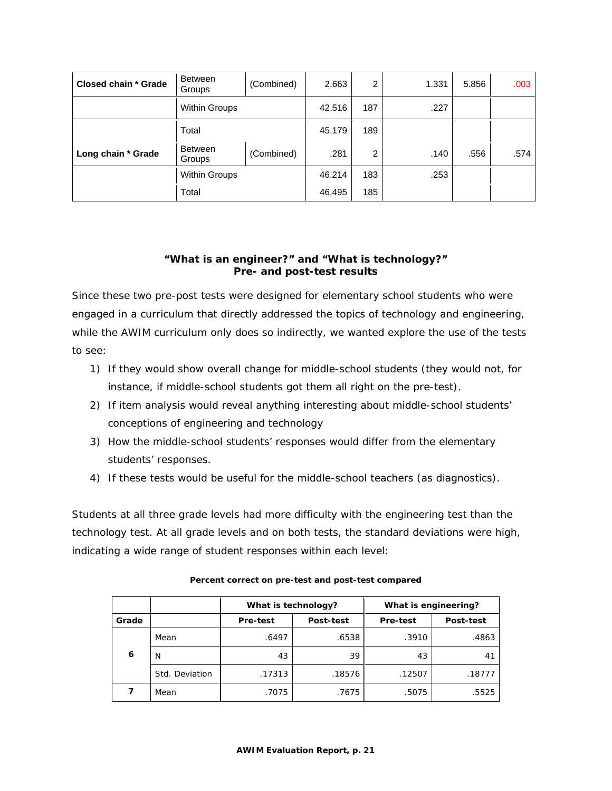| Closed chain * Grade | <b>Between</b><br>Groups | (Combined) | 2.663  | 2   | 1.331 | 5.856 | .003 |
|----------------------|--------------------------|------------|--------|-----|-------|-------|------|
|                      | <b>Within Groups</b>     |            | 42.516 | 187 | .227  |       |      |
|                      | Total                    |            | 45.179 | 189 |       |       |      |
| Long chain * Grade   | Between<br>Groups        | (Combined) | .281   | 2   | .140  | .556  | .574 |
|                      | <b>Within Groups</b>     |            | 46.214 | 183 | .253  |       |      |
|                      | Total                    |            | 46.495 | 185 |       |       |      |

# **"What is an engineer?" and "What is technology?" Pre- and post-test results**

Since these two pre-post tests were designed for elementary school students who were engaged in a curriculum that directly addressed the topics of technology and engineering, while the AWIM curriculum only does so indirectly, we wanted explore the use of the tests to see:

- 1) If they would show overall change for middle-school students (they would not, for instance, if middle-school students got them all right on the pre-test).
- 2) If item analysis would reveal anything interesting about middle-school students' conceptions of engineering and technology
- 3) How the middle-school students' responses would differ from the elementary students' responses.
- 4) If these tests would be useful for the middle-school teachers (as diagnostics).

Students at all three grade levels had more difficulty with the engineering test than the technology test. At all grade levels and on both tests, the standard deviations were high, indicating a wide range of student responses within each level:

|       |                | What is technology?   |        | What is engineering? |             |
|-------|----------------|-----------------------|--------|----------------------|-------------|
| Grade |                | Pre-test<br>Post-test |        | Pre-test             | Post-test   |
|       | Mean           | .6497                 | .6538  | .3910                | .4863       |
| 6     | N              | 43                    | 39     | 43                   | $4^{\circ}$ |
|       | Std. Deviation | .17313                | .18576 | .12507               | .18777      |
|       | Mean           | .7075                 | .7675  | .5075                | .5525       |

|  | Percent correct on pre-test and post-test compared |  |
|--|----------------------------------------------------|--|
|--|----------------------------------------------------|--|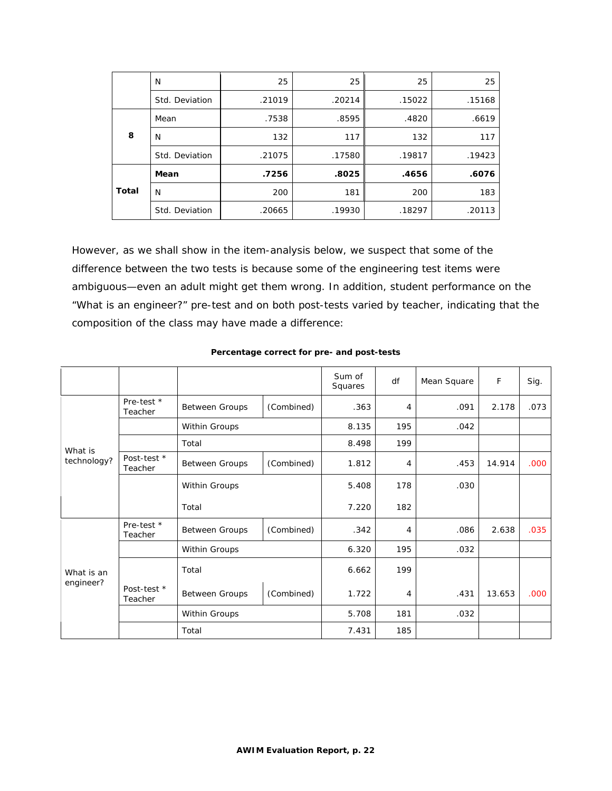|       | N              | 25     | 25     | 25     | 25     |
|-------|----------------|--------|--------|--------|--------|
|       | Std. Deviation | .21019 | .20214 | .15022 | .15168 |
|       | Mean           | .7538  | .8595  | .4820  | .6619  |
| 8     | N              | 132    | 117    | 132    | 117    |
|       | Std. Deviation | .21075 | .17580 | .19817 | .19423 |
|       | Mean           | .7256  | .8025  | .4656  | .6076  |
| Total | N              | 200    | 181    | 200    | 183    |
|       | Std. Deviation | .20665 | .19930 | .18297 | .20113 |

However, as we shall show in the item-analysis below, we suspect that some of the difference between the two tests is because some of the engineering test items were ambiguous—even an adult might get them wrong. In addition, student performance on the "What is an engineer?" pre-test and on both post-tests varied by teacher, indicating that the composition of the class may have made a difference:

|                         |                        |                       |            | Sum of<br>Squares | df  | Mean Square | F      | Sig. |
|-------------------------|------------------------|-----------------------|------------|-------------------|-----|-------------|--------|------|
|                         | Pre-test *<br>Teacher  | <b>Between Groups</b> | (Combined) | .363              | 4   | .091        | 2.178  | .073 |
|                         |                        | Within Groups         |            | 8.135             | 195 | .042        |        |      |
| What is                 |                        | Total                 |            | 8.498             | 199 |             |        |      |
| technology?             | Post-test *<br>Teacher | <b>Between Groups</b> | (Combined) | 1.812             | 4   | .453        | 14.914 | .000 |
|                         |                        | Within Groups         |            | 5.408             | 178 | .030        |        |      |
|                         |                        | Total                 |            | 7.220             | 182 |             |        |      |
|                         | Pre-test *<br>Teacher  | <b>Between Groups</b> | (Combined) | .342              | 4   | .086        | 2.638  | .035 |
|                         |                        | Within Groups         |            | 6.320             | 195 | .032        |        |      |
| What is an<br>engineer? |                        | Total                 |            | 6.662             | 199 |             |        |      |
|                         | Post-test *<br>Teacher | <b>Between Groups</b> | (Combined) | 1.722             | 4   | .431        | 13.653 | .000 |
|                         |                        | Within Groups         |            | 5.708             | 181 | .032        |        |      |
|                         |                        | Total                 |            | 7.431             | 185 |             |        |      |

### **Percentage correct for pre- and post-tests**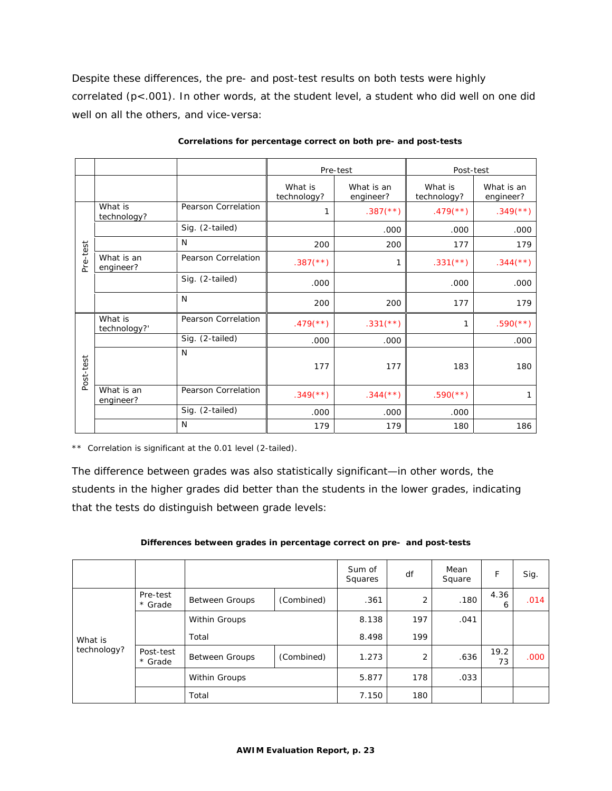Despite these differences, the pre- and post-test results on both tests were highly correlated (p<.001). In other words, at the student level, a student who did well on one did well on all the others, and vice-versa:

|           |                         |                     | Pre-test                 |                         | Post-test                |                          |
|-----------|-------------------------|---------------------|--------------------------|-------------------------|--------------------------|--------------------------|
|           |                         |                     | What is<br>technology?   | What is an<br>engineer? | What is<br>technology?   | What is an<br>engineer?  |
|           | What is<br>technology?  | Pearson Correlation | 1                        | $.387$ (**)             | $.479$ <sup>(**)</sup> ) | $.349$ <sup>(**)</sup> ) |
|           |                         | Sig. (2-tailed)     |                          | .000                    | .000                     | .000                     |
|           |                         | N                   | 200                      | 200                     | 177                      | 179                      |
| Pre-test  | What is an<br>engineer? | Pearson Correlation | $.387$ (**)              | 1                       | $.331$ (**)              | $.344$ (**)              |
|           |                         | Sig. (2-tailed)     | .000                     |                         | .000                     | .000                     |
|           |                         | N                   | 200                      | 200                     | 177                      | 179                      |
|           | What is<br>technology?' | Pearson Correlation | $.479$ <sup>(**)</sup> ) | $.331$ (**)             | 1                        | $.590$ (**)              |
|           |                         | Sig. (2-tailed)     | .000                     | .000                    |                          | .000                     |
| Post-test |                         | N                   | 177                      | 177                     | 183                      | 180                      |
|           | What is an<br>engineer? | Pearson Correlation | $.349$ <sup>(**)</sup> ) | $.344$ (**)             | $.590$ (**)              |                          |
|           |                         | Sig. (2-tailed)     | .000                     | .000                    | .000                     |                          |
|           |                         | N                   | 179                      | 179                     | 180                      | 186                      |

**Correlations for percentage correct on both pre- and post-tests** 

\*\* Correlation is significant at the 0.01 level (2-tailed).

The difference between grades was also statistically significant—in other words, the students in the higher grades did better than the students in the lower grades, indicating that the tests do distinguish between grade levels:

|  |  |  | Differences between grades in percentage correct on pre- and post-tests |
|--|--|--|-------------------------------------------------------------------------|
|  |  |  |                                                                         |

|             |                      |                       |            | Sum of<br>Squares | df  | Mean<br>Square | F          | Sig.              |
|-------------|----------------------|-----------------------|------------|-------------------|-----|----------------|------------|-------------------|
|             | Pre-test<br>* Grade  | <b>Between Groups</b> | (Combined) | .361              | 2   | .180           | 4.36<br>6  | .014              |
|             |                      | Within Groups         |            |                   | 197 | .041           |            |                   |
| What is     |                      | Total                 |            | 8.498             | 199 |                |            |                   |
| technology? | Post-test<br>* Grade | <b>Between Groups</b> | (Combined) | 1.273             | 2   | .636           | 19.2<br>73 | .000 <sub>1</sub> |
|             |                      | Within Groups         |            | 5.877             | 178 | .033           |            |                   |
|             |                      | Total                 |            | 7.150             | 180 |                |            |                   |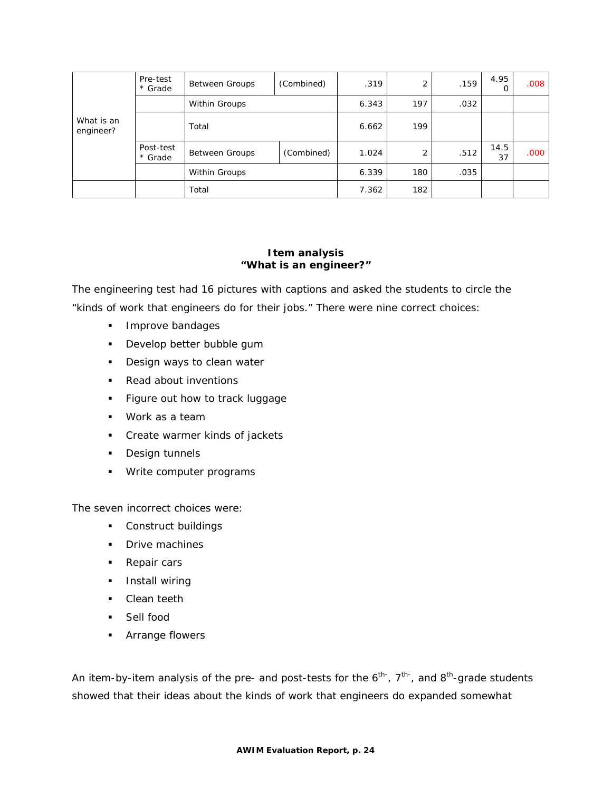|                         | Pre-test<br>* Grade  | <b>Between Groups</b>               | (Combined) | .319  | 2   | .159 | 4.95       | .008              |
|-------------------------|----------------------|-------------------------------------|------------|-------|-----|------|------------|-------------------|
|                         |                      | Within Groups                       |            | 6.343 | 197 | .032 |            |                   |
| What is an<br>engineer? |                      | Total                               |            | 6.662 | 199 |      |            |                   |
|                         | Post-test<br>* Grade | (Combined)<br><b>Between Groups</b> |            | 1.024 | 2   | .512 | 14.5<br>37 | .000 <sub>1</sub> |
|                         |                      | Within Groups                       |            | 6.339 | 180 | .035 |            |                   |
|                         |                      | Total                               |            | 7.362 | 182 |      |            |                   |

### **Item analysis "What is an engineer?"**

The engineering test had 16 pictures with captions and asked the students to circle the "kinds of work that engineers do for their jobs." There were nine correct choices:

- **Improve bandages**
- **Develop better bubble gum**
- **Design ways to clean water**
- Read about inventions
- **Figure out how to track luggage**
- Work as a team
- **Create warmer kinds of jackets**
- **Design tunnels**
- **Write computer programs**

The seven incorrect choices were:

- **Construct buildings**
- **Drive machines**
- Repair cars
- **Install wiring**
- Clean teeth
- **Sell food**
- **Arrange flowers**

An item-by-item analysis of the pre- and post-tests for the  $6<sup>th</sup>$ ,  $7<sup>th</sup>$ , and  $8<sup>th</sup>$ -grade students showed that their ideas about the kinds of work that engineers do expanded somewhat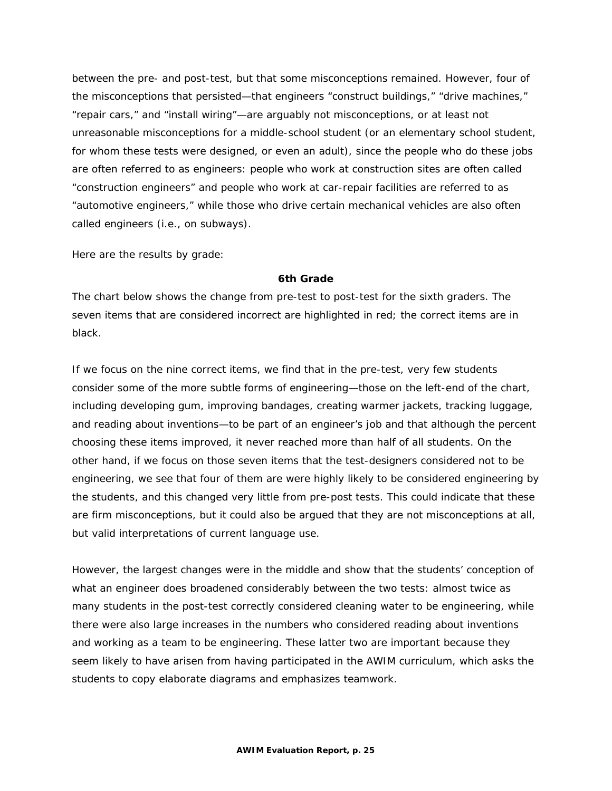between the pre- and post-test, but that some misconceptions remained. However, four of the misconceptions that persisted—that engineers "construct buildings," "drive machines," "repair cars," and "install wiring"—are arguably not misconceptions, or at least not unreasonable misconceptions for a middle-school student (or an elementary school student, for whom these tests were designed, or even an adult), since the people who do these jobs are often referred to as engineers: people who work at construction sites are often called "construction engineers" and people who work at car-repair facilities are referred to as "automotive engineers," while those who drive certain mechanical vehicles are also often called engineers (i.e., on subways).

Here are the results by grade:

#### **6th Grade**

The chart below shows the change from pre-test to post-test for the sixth graders. The seven items that are considered incorrect are highlighted in red; the correct items are in black.

If we focus on the nine correct items, we find that in the pre-test, very few students consider some of the more subtle forms of engineering—those on the left-end of the chart, including developing gum, improving bandages, creating warmer jackets, tracking luggage, and reading about inventions—to be part of an engineer's job and that although the percent choosing these items improved, it never reached more than half of all students. On the other hand, if we focus on those seven items that the test-designers considered not to be engineering, we see that four of them are were highly likely to be considered engineering by the students, and this changed very little from pre-post tests. This could indicate that these are firm misconceptions, but it could also be argued that they are not misconceptions at all, but valid interpretations of current language use.

However, the largest changes were in the middle and show that the students' conception of what an engineer does broadened considerably between the two tests: almost twice as many students in the post-test correctly considered cleaning water to be engineering, while there were also large increases in the numbers who considered reading about inventions and working as a team to be engineering. These latter two are important because they seem likely to have arisen from having participated in the AWIM curriculum, which asks the students to copy elaborate diagrams and emphasizes teamwork.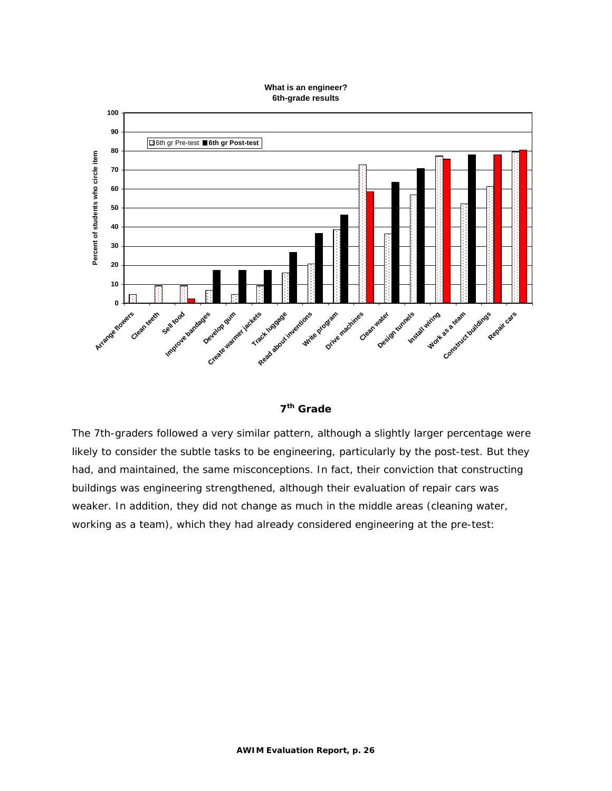#### **What is an engineer? 6th-grade results**





The 7th-graders followed a very similar pattern, although a slightly larger percentage were likely to consider the subtle tasks to be engineering, particularly by the post-test. But they had, and maintained, the same misconceptions. In fact, their conviction that constructing buildings was engineering strengthened, although their evaluation of repair cars was weaker. In addition, they did not change as much in the middle areas (cleaning water, working as a team), which they had already considered engineering at the pre-test: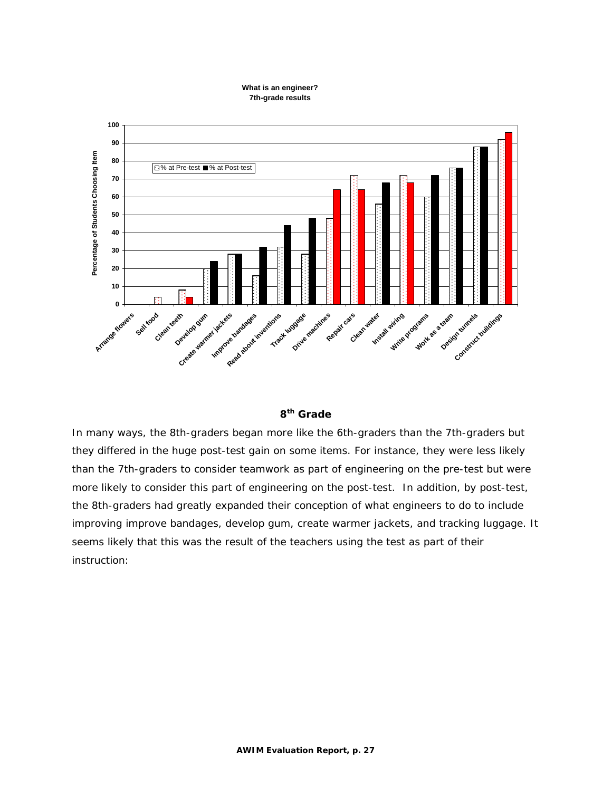#### **What is an engineer? 7th-grade results**



# **8th Grade**

In many ways, the 8th-graders began more like the 6th-graders than the 7th-graders but they differed in the huge post-test gain on some items. For instance, they were less likely than the 7th-graders to consider teamwork as part of engineering on the pre-test but were more likely to consider this part of engineering on the post-test. In addition, by post-test, the 8th-graders had greatly expanded their conception of what engineers to do to include improving improve bandages, develop gum, create warmer jackets, and tracking luggage. It seems likely that this was the result of the teachers using the test as part of their instruction: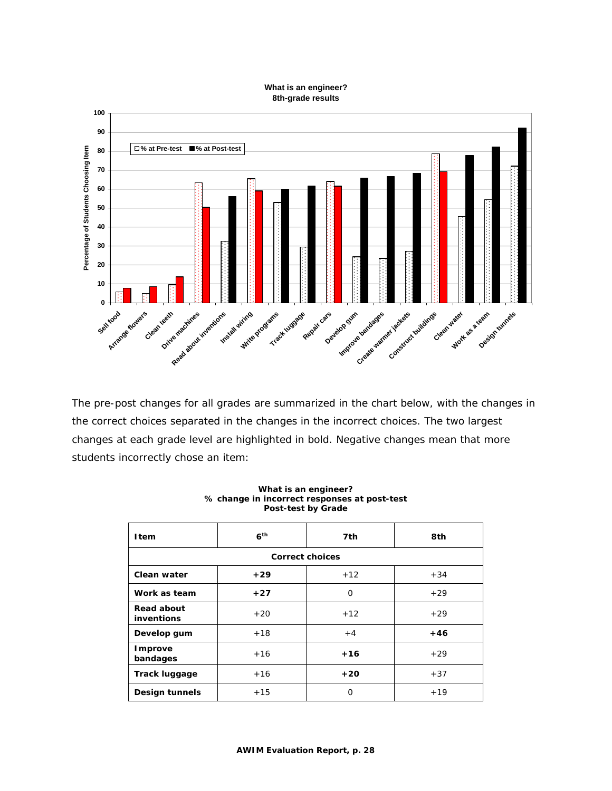#### **What is an engineer? 8th-grade results**



The pre-post changes for all grades are summarized in the chart below, with the changes in the correct choices separated in the changes in the incorrect choices. The two largest changes at each grade level are highlighted in bold. Negative changes mean that more students incorrectly chose an item:

| <b>I</b> tem             | 6 <sup>th</sup> | 7th      | 8th   |  |  |  |
|--------------------------|-----------------|----------|-------|--|--|--|
| <b>Correct choices</b>   |                 |          |       |  |  |  |
| Clean water              | $+29$           | $+12$    | $+34$ |  |  |  |
| Work as team             | $+27$           | $\Omega$ | $+29$ |  |  |  |
| Read about<br>inventions | $+20$           | $+12$    | $+29$ |  |  |  |
| Develop gum              | $+18$           | $+4$     | $+46$ |  |  |  |
| Improve<br>bandages      | $+16$           | $+16$    | $+29$ |  |  |  |
| <b>Track luggage</b>     | $+16$           | $+20$    | $+37$ |  |  |  |
| Design tunnels           | $+15$           | O        | $+19$ |  |  |  |

#### **What is an engineer? % change in incorrect responses at post-test Post-test by Grade**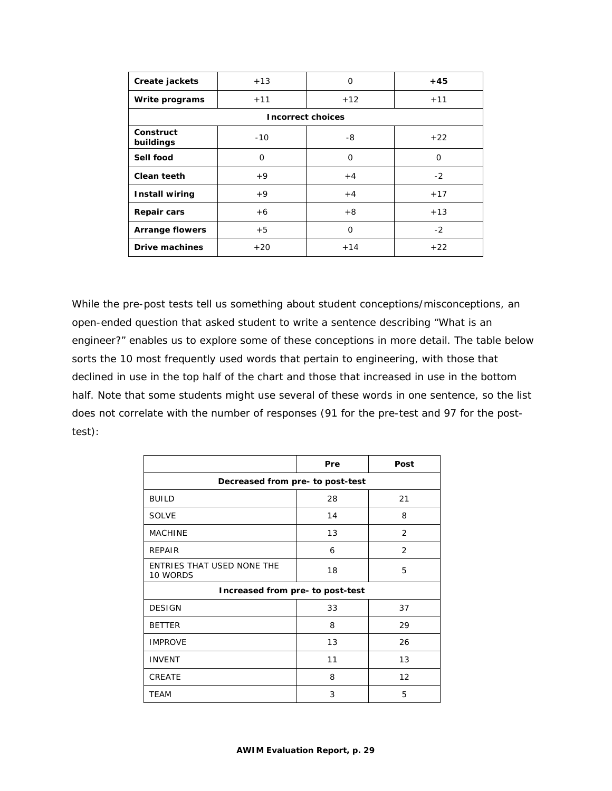| Create jackets           | $+13$ | $\Omega$ | $+45$ |  |  |
|--------------------------|-------|----------|-------|--|--|
| Write programs           | $+11$ | $+12$    | $+11$ |  |  |
| <b>Incorrect choices</b> |       |          |       |  |  |
| Construct<br>buildings   | $-10$ | -8       | $+22$ |  |  |
| Sell food                | 0     | O        | 0     |  |  |
| Clean teeth              | $+9$  | $+4$     | $-2$  |  |  |
| <b>Install wiring</b>    | $+9$  | $+4$     | $+17$ |  |  |
| <b>Repair cars</b>       | $+6$  | $+8$     | $+13$ |  |  |
| <b>Arrange flowers</b>   | $+5$  | $\Omega$ | $-2$  |  |  |
| <b>Drive machines</b>    | $+20$ | $+14$    | $+22$ |  |  |

While the pre-post tests tell us something about student conceptions/misconceptions, an open-ended question that asked student to write a sentence describing "What is an engineer?" enables us to explore some of these conceptions in more detail. The table below sorts the 10 most frequently used words that pertain to engineering, with those that declined in use in the top half of the chart and those that increased in use in the bottom half. Note that some students might use several of these words in one sentence, so the list does n ot correlate with the number of responses (91 for the pre-test and 97 for the posttest):

|                                        | Pre | Post           |  |  |  |
|----------------------------------------|-----|----------------|--|--|--|
| Decreased from pre- to post-test       |     |                |  |  |  |
| <b>BUILD</b>                           | 28  | 21             |  |  |  |
| <b>SOLVE</b>                           | 14  | 8              |  |  |  |
| <b>MACHINE</b>                         | 13  | $\overline{2}$ |  |  |  |
| <b>REPAIR</b>                          | 6   | $\overline{2}$ |  |  |  |
| ENTRIES THAT USED NONE THE<br>10 WORDS | 18  | 5              |  |  |  |
| Increased from pre- to post-test       |     |                |  |  |  |
| <b>DESIGN</b>                          | 33  | 37             |  |  |  |
| <b>BETTER</b>                          | 8   | 29             |  |  |  |
| <b>IMPROVE</b>                         | 13  | 26             |  |  |  |
| <b>INVENT</b>                          | 11  | 13             |  |  |  |
| <b>CREATE</b>                          | 8   | 12             |  |  |  |
| <b>TEAM</b>                            | 3   | 5              |  |  |  |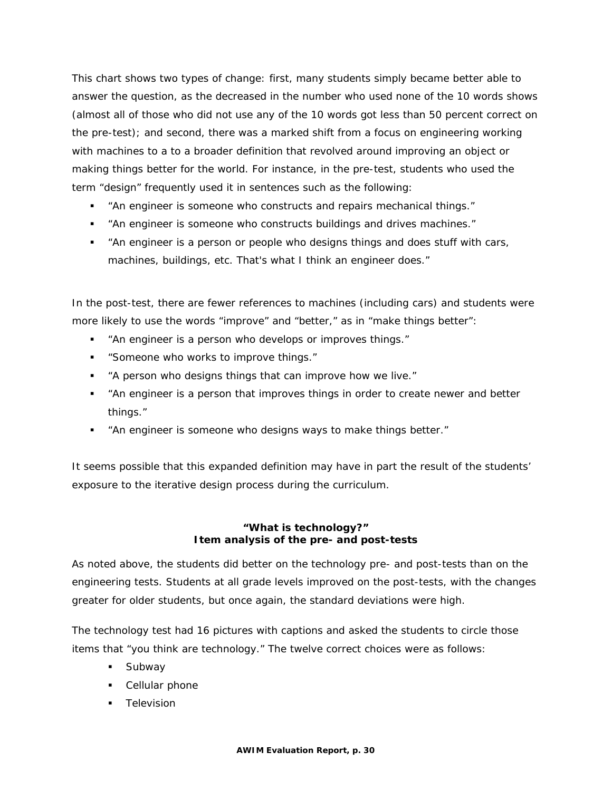This chart shows two types of change: first, many students simply became better able to answer the question, as the decreased in the number who used none of the 10 words shows (almost all of those who did not use any of the 10 words got less than 50 percent correct on the pre-test); and second, there was a marked shift from a focus on engineering working with machines to a to a broader definition that revolved around improving an object or making things better for the world. For instance, in the pre-test, students who used the term "design" frequently used it in sentences such as the following:

- "An engineer is someone who constructs and repairs mechanical things."
- "An engineer is someone who constructs buildings and drives machines."
- "An engineer is a person or people who designs things and does stuff with cars, machines, buildings, etc. That's what I think an engineer does."

In the post-test, there are fewer references to machines (including cars) and students were more likely to use the words "improve" and "better," as in "make things better":

- "An engineer is a person who develops or improves things."
- "Someone who works to improve things."
- "A person who designs things that can improve how we live."
- "An engineer is a person that improves things in order to create newer and better things."
- "An engineer is someone who designs ways to make things better."

It seems possible that this expanded definition may have in part the result of the students' exposure to the iterative design process during the curriculum.

### **"What is technology?" Item analysis of the pre- and post-tests**

As noted above, the students did better on the technology pre- and post-tests than on the engineering tests. Students at all grade levels improved on the post-tests, with the changes greater for older students, but once again, the standard deviations were high.

The technology test had 16 pictures with captions and asked the students to circle those items that "you think are technology." The twelve correct choices were as follows:

- **Subway**
- Cellular phone
- **Television**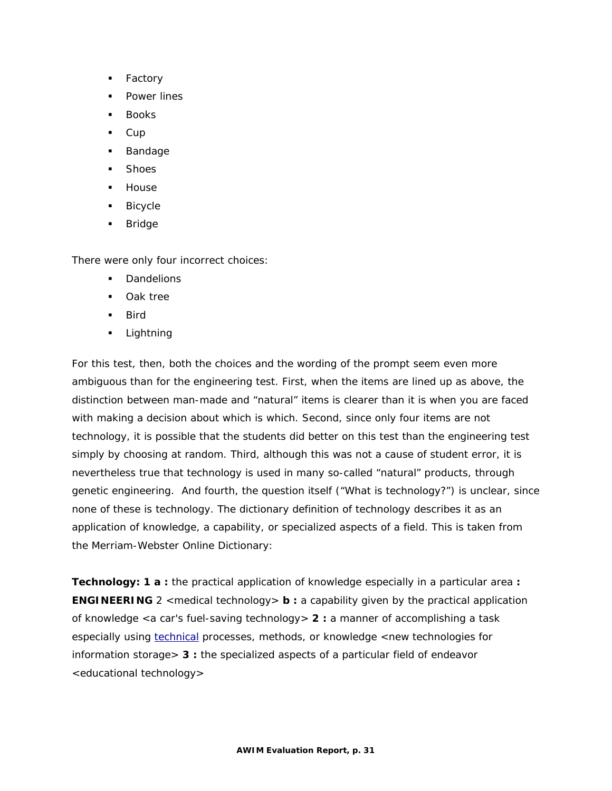- **Factory**
- Power lines
- Books
- $\overline{\phantom{a}}$  Cup
- **Bandage**
- **Shoes**
- **House**
- **Bicycle**
- **Bridge**

There were only four incorrect choices:

- **Dandelions**
- **Dak tree**
- $Bird$
- **Lightning**

For this test, then, both the choices and the wording of the prompt seem even more ambiguous than for the engineering test. First, when the items are lined up as above, the distinction between man-made and "natural" items is clearer than it is when you are faced with making a decision about which is which. Second, since only four items are not technology, it is possible that the students did better on this test than the engineering test simply by choosing at random. Third, although this was not a cause of student error, it is nevertheless true that technology is used in many so-called "natural" products, through genetic engineering. And fourth, the question itself ("What is technology?") is unclear, since none of these *is* technology. The dictionary definition of technology describes it as an application of knowledge, a capability, or specialized aspects of a field. This is taken from the Merriam-Webster Online Dictionary:

**Technology: 1 a :** the practical application of knowledge especially in a particular area **: ENGINEERING** 2 <medical *technology*> **b** : a capability given by the practical application of knowledge <a car's fuel-saving *technology*> **2 :** a manner of accomplishing a task especially using [technical](http://www.m-w.com/dictionary/technical) processes, methods, or knowledge <new *technologies* for information storage> **3 :** the specialized aspects of a particular field of endeavor <educational *technology*>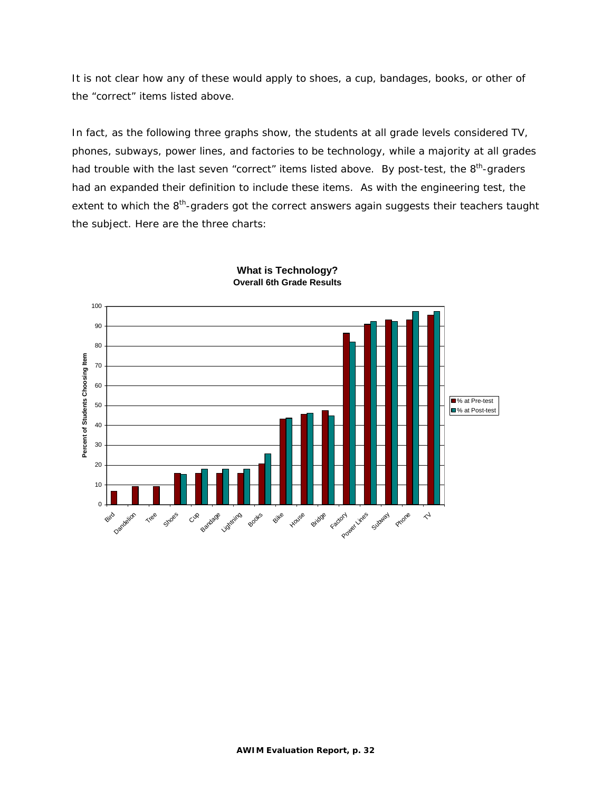It is not clear how any of these would apply to shoes, a cup, bandages, books, or other of the "correct" items listed above.

In fact, as the following three graphs show, the students at all grade levels considered TV, phones, subways, power lines, and factories to be technology, while a majority at all grades had trouble with the last seven "correct" items listed above. By post-test, the 8<sup>th</sup>-graders had an expanded their definition to include these items. As with the engineering test, the extent to which the 8<sup>th</sup>-graders got the correct answers again suggests their teachers taught the subject. Here are the three charts:



#### **What is Technology? Overall 6th Grade Results**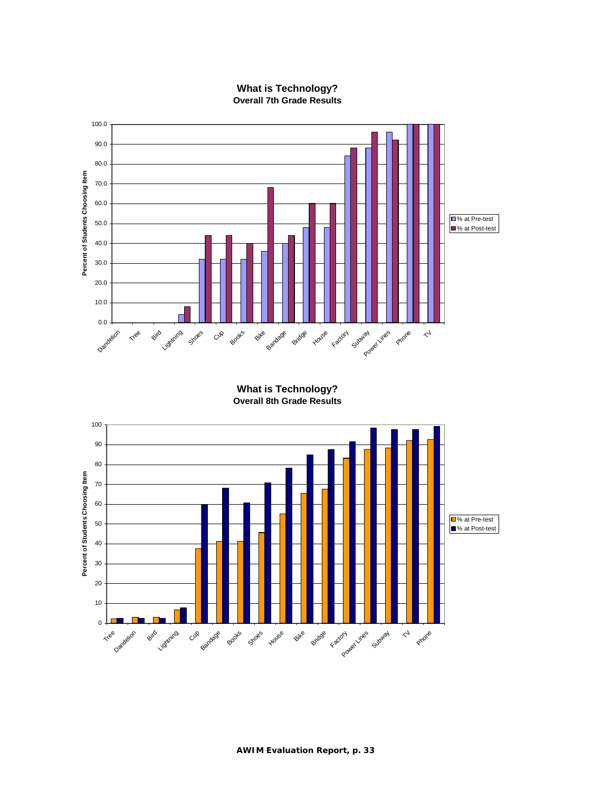

### **What is Technology? Overall 7th Grade Results**

**What is Technology? Overall 8th Grade Results**

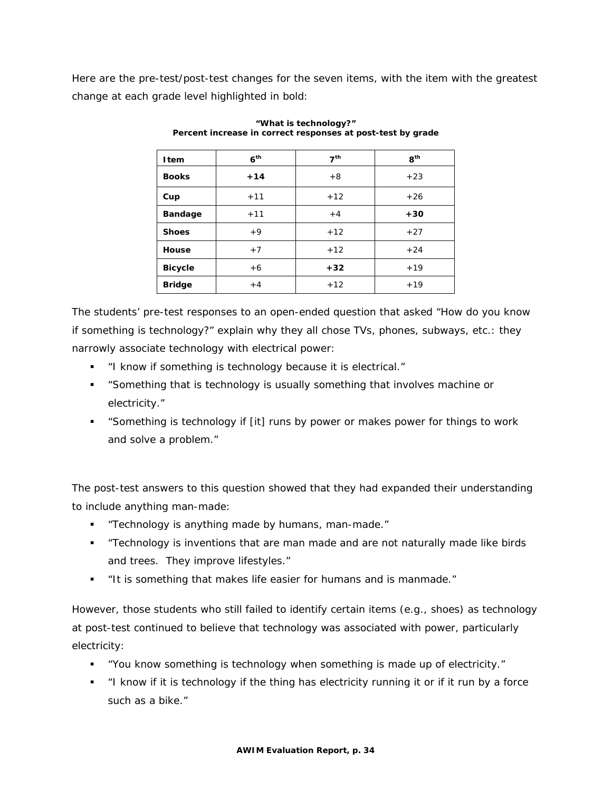Here are the pre-test/post-test changes for the seven items, with the item with the greatest change at each grade level highlighted in bold:

| <b>I</b> tem   | 6 <sup>th</sup> | 7 <sup>th</sup> | R <sup>th</sup> |
|----------------|-----------------|-----------------|-----------------|
| <b>Books</b>   | $+14$           | $+8$            | $+23$           |
| Cup            | $+11$           | $+12$           | $+26$           |
| <b>Bandage</b> | $+11$           | $+4$            | $+30$           |
| <b>Shoes</b>   | $+9$            | $+12$           | $+27$           |
| House          | $+7$            | $+12$           | $+24$           |
| <b>Bicycle</b> | $+6$            | $+32$           | $+19$           |
| <b>Bridge</b>  | $+4$            | $+12$           | $+19$           |

**"What is technology?" Percent increase in correct responses at post-test by grade**

The students' pre-test responses to an open-ended question that asked "How do you know if something is technology?" explain why they all chose TVs, phones, subways, etc.: they narrowly associate technology with electrical power:

- "I know if something is technology because it is electrical."
- "Something that is technology is usually something that involves machine or electricity."
- "Something is technology if [it] runs by power or makes power for things to work and solve a problem."

The post-test answers to this question showed that they had expanded their understanding to include anything man-made:

- "Technology is anything made by humans, man-made."
- "Technology is inventions that are man made and are not naturally made like birds and trees. They improve lifestyles."
- "It is something that makes life easier for humans and is manmade."

However, those students who still failed to identify certain items (e.g., shoes) as technology at post-test continued to believe that technology was associated with power, particularly electricity:

- "You know something is technology when something is made up of electricity."
- "I know if it is technology if the thing has electricity running it or if it run by a force such as a bike."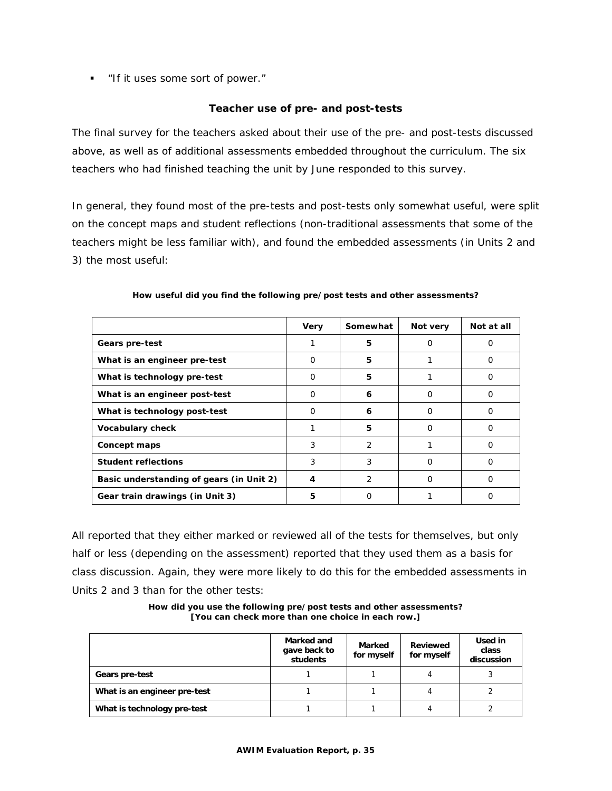**If it uses some sort of power.**"

### **Teacher use of pre- and post-tests**

The final survey for the teachers asked about their use of the pre- and post-tests discussed above, as well as of additional assessments embedded throughout the curriculum. The six teachers who had finished teaching the unit by June responded to this survey.

In general, they found most of the pre-tests and post-tests only somewhat useful, were split on the concept maps and student reflections (non-traditional assessments that some of the teachers might be less familiar with), and found the embedded assessments (in Units 2 and 3) the most useful:

|                                          | <b>Very</b> | Somewhat | Not very | Not at all |
|------------------------------------------|-------------|----------|----------|------------|
| Gears pre-test                           |             | 5        | O        | Ω          |
| What is an engineer pre-test             | $\Omega$    | 5        |          | Ω          |
| What is technology pre-test              | 0           | 5        |          | Ω          |
| What is an engineer post-test            | $\Omega$    | 6        | O        | Ω          |
| What is technology post-test             | $\Omega$    | 6        | $\Omega$ | Ω          |
| Vocabulary check                         |             | 5        | 0        | O          |
| Concept maps                             | 3           | 2        |          | 0          |
| <b>Student reflections</b>               | 3           | 3        | 0        | O          |
| Basic understanding of gears (in Unit 2) | 4           | 2        | O        |            |
| Gear train drawings (in Unit 3)          | 5           | Ο        |          | Ω          |

### **How useful did you find the following pre/post tests and other assessments?**

All reported that they either marked or reviewed all of the tests for themselves, but only half or less (depending on the assessment) reported that they used them as a basis for class discussion. Again, they were more likely to do this for the embedded assessments in Units 2 and 3 than for the other tests:

**How did you use the following pre/post tests and other assessments? [You can check more than one choice in each row.]**

|                              | Marked and<br>gave back to<br>students | Marked<br>for myself | Reviewed<br>for myself | Used in<br>class<br>discussion |
|------------------------------|----------------------------------------|----------------------|------------------------|--------------------------------|
| Gears pre-test               |                                        |                      | 4                      |                                |
| What is an engineer pre-test |                                        |                      |                        |                                |
| What is technology pre-test  |                                        |                      |                        |                                |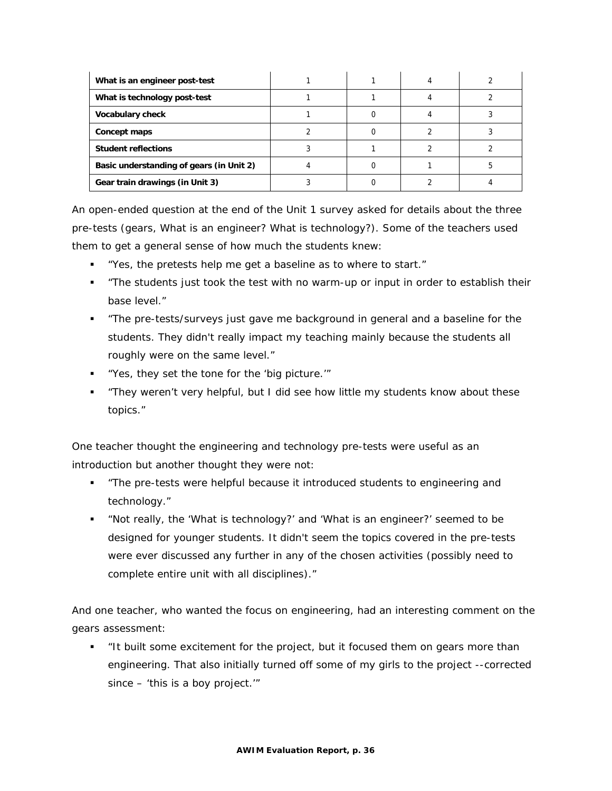| What is an engineer post-test            |  |  |
|------------------------------------------|--|--|
| What is technology post-test             |  |  |
| <b>Vocabulary check</b>                  |  |  |
| Concept maps                             |  |  |
| <b>Student reflections</b>               |  |  |
| Basic understanding of gears (in Unit 2) |  |  |
| Gear train drawings (in Unit 3)          |  |  |

An open-ended question at the end of the Unit 1 survey asked for details about the three pre-tests (gears, What is an engineer? What is technology?). Some of the teachers used them to get a general sense of how much the students knew:

- "Yes, the pretests help me get a baseline as to where to start."
- "The students just took the test with no warm-up or input in order to establish their base level."
- "The pre-tests/surveys just gave me background in general and a baseline for the students. They didn't really impact my teaching mainly because the students all roughly were on the same level."
- "Yes, they set the tone for the 'big picture.'"
- "They weren't very helpful, but I did see how little my students know about these topics."

One teacher thought the engineering and technology pre-tests were useful as an introduction but another thought they were not:

- **The pre-tests were helpful because it introduced students to engineering and** technology."
- "Not really, the 'What is technology?' and 'What is an engineer?' seemed to be designed for younger students. It didn't seem the topics covered in the pre-tests were ever discussed any further in any of the chosen activities (possibly need to complete entire unit with all disciplines)."

And one teacher, who wanted the focus on engineering, had an interesting comment on the gears assessment:

 "It built some excitement for the project, but it focused them on gears more than engineering. That also initially turned off some of my girls to the project --corrected since – 'this is a boy project.'"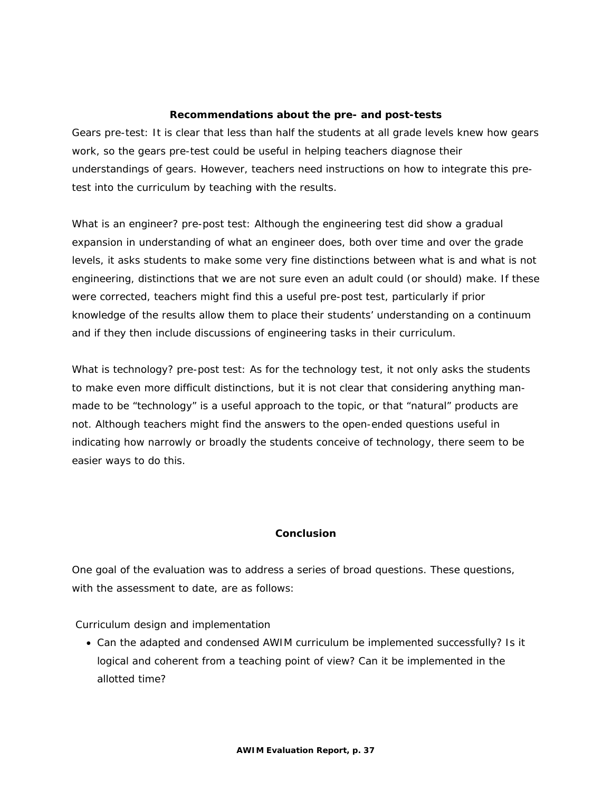### **Recommendations about the pre- and post-tests**

Gears pre-test: It is clear that less than half the students at all grade levels knew how gears work, so the gears pre-test could be useful in helping teachers diagnose their understandings of gears. However, teachers need instructions on how to integrate this pretest into the curriculum by teaching with the results.

What is an engineer? pre-post test: Although the engineering test did show a gradual expansion in understanding of what an engineer does, both over time and over the grade levels, it asks students to make some very fine distinctions between what is and what is not engineering, distinctions that we are not sure even an adult could (or should) make. If these were corrected, teachers might find this a useful pre-post test, particularly if prior knowledge of the results allow them to place their students' understanding on a continuum and if they then include discussions of engineering tasks in their curriculum.

What is technology? pre-post test: As for the technology test, it not only asks the students to make even more difficult distinctions, but it is not clear that considering anything manmade to be "technology" is a useful approach to the topic, or that "natural" products are not. Although teachers might find the answers to the open-ended questions useful in indicating how narrowly or broadly the students conceive of technology, there seem to be easier ways to do this.

### **Conclusion**

One goal of the evaluation was to address a series of broad questions. These questions, with the assessment to date, are as follows:

Curriculum design and implementation

• Can the adapted and condensed AWIM curriculum be implemented successfully? Is it logical and coherent from a teaching point of view? Can it be implemented in the allotted time?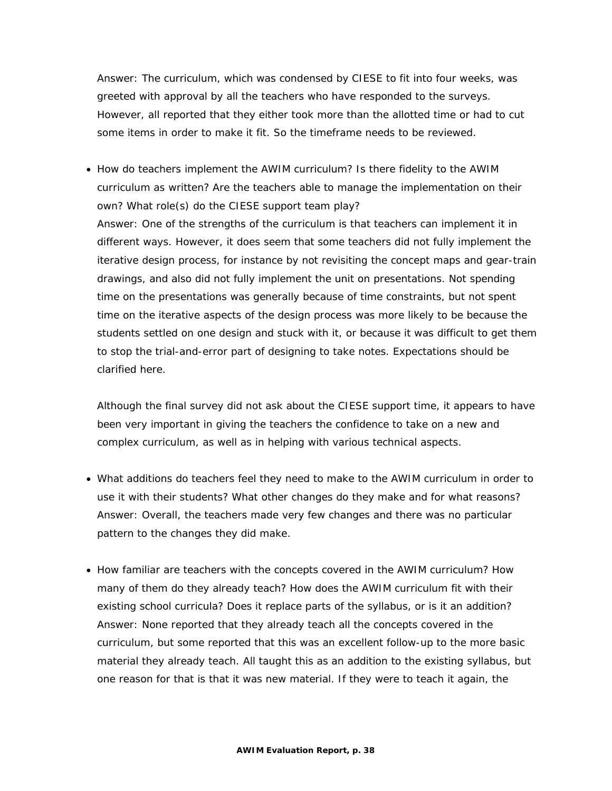*Answer:* The curriculum, which was condensed by CIESE to fit into four weeks, was greeted with approval by all the teachers who have responded to the surveys. However, all reported that they either took more than the allotted time or had to cut some items in order to make it fit. So the timeframe needs to be reviewed.

• How do teachers implement the AWIM curriculum? Is there fidelity to the AWIM curriculum as written? Are the teachers able to manage the implementation on their own? What role(s) do the CIESE support team play? *Answer:* One of the strengths of the curriculum is that teachers can implement it in different ways. However, it does seem that some teachers did not fully implement the iterative design process, for instance by not revisiting the concept maps and gear-train drawings, and also did not fully implement the unit on presentations. Not spending time on the presentations was generally because of time constraints, but not spent time on the iterative aspects of the design process was more likely to be because the students settled on one design and stuck with it, or because it was difficult to get them to stop the trial-and-error part of designing to take notes. Expectations should be clarified here.

Although the final survey did not ask about the CIESE support time, it appears to have been very important in giving the teachers the confidence to take on a new and complex curriculum, as well as in helping with various technical aspects.

- What additions do teachers feel they need to make to the AWIM curriculum in order to use it with their students? What other changes do they make and for what reasons? Answer: Overall, the teachers made very few changes and there was no particular pattern to the changes they did make.
- How familiar are teachers with the concepts covered in the AWIM curriculum? How many of them do they already teach? How does the AWIM curriculum fit with their existing school curricula? Does it replace parts of the syllabus, or is it an addition? *Answer:* None reported that they already teach all the concepts covered in the curriculum, but some reported that this was an excellent follow-up to the more basic material they already teach. All taught this as an addition to the existing syllabus, but one reason for that is that it was new material. If they were to teach it again, the